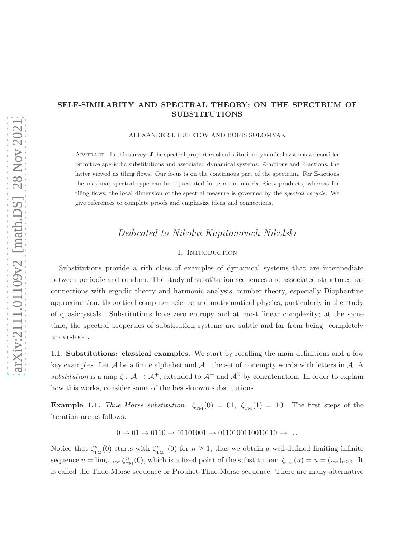## SELF-SIMILARITY AND SPECTRAL THEORY: ON THE SPECTRUM OF SUBSTITUTIONS

ALEXANDER I. BUFETOV AND BORIS SOLOMYAK

Abstract. In this survey of the spectral properties of substitution dynamical systems we consider primitive aperiodic substitutions and associated dynamical systems: Z-actions and R-actions, the latter viewed as tiling flows. Our focus is on the continuous part of the spectrum. For  $\mathbb{Z}$ -actions the maximal spectral type can be represented in terms of matrix Riesz products, whereas for tiling flows, the local dimension of the spectral measure is governed by the *spectral cocycle*. We give references to complete proofs and emphasize ideas and connections.

# Dedicated to Nikolai Kapitonovich Nikolski

## 1. Introduction

Substitutions provide a rich class of examples of dynamical systems that are intermediate between periodic and random. The study of substitution sequences and associated structures has connections with ergodic theory and harmonic analysis, number theory, especially Diophantine approximation, theoretical computer science and mathematical physics, particularly in the study of quasicrystals. Substitutions have zero entropy and at most linear complexity; at the same time, the spectral properties of substitution systems are subtle and far from being completely understood.

1.1. Substitutions: classical examples. We start by recalling the main definitions and a few key examples. Let A be a finite alphabet and  $A^+$  the set of nonempty words with letters in A. A substitution is a map  $\zeta: \mathcal{A} \to \mathcal{A}^+$ , extended to  $\mathcal{A}^+$  and  $\mathcal{A}^{\mathbb{N}}$  by concatenation. In order to explain how this works, consider some of the best-known substitutions.

**Example 1.1.** Thue-Morse substitution:  $\zeta_{TM}(0) = 01$ ,  $\zeta_{TM}(1) = 10$ . The first steps of the iteration are as follows:

 $0 \to 01 \to 0110 \to 01101001 \to 0110100110010110 \to \dots$ 

Notice that  $\zeta_{TM}^n(0)$  starts with  $\zeta_{TM}^{n-1}(0)$  for  $n \geq 1$ ; thus we obtain a well-defined limiting infinite sequence  $u = \lim_{n \to \infty} \zeta_{TM}^n(0)$ , which is a fixed point of the substitution:  $\zeta_{TM}(u) = u = (u_n)_{n \geq 0}$ . It is called the Thue-Morse sequence or Prouhet-Thue-Morse sequence. There are many alternative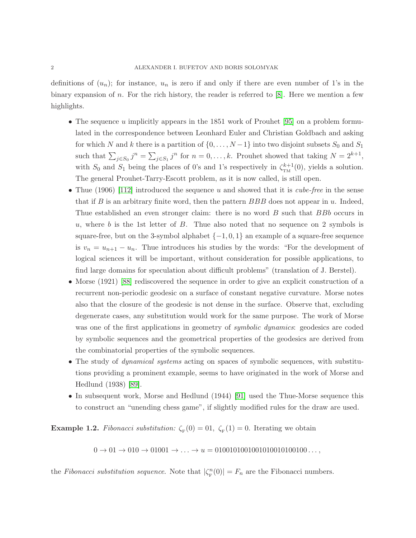definitions of  $(u_n)$ ; for instance,  $u_n$  is zero if and only if there are even number of 1's in the binary expansion of n. For the rich history, the reader is referred to  $[8]$ . Here we mention a few highlights.

- The sequence u implicitly appears in the 1851 work of Prouhet  $|95|$  on a problem formulated in the correspondence between Leonhard Euler and Christian Goldbach and asking for which N and k there is a partition of  $\{0, \ldots, N-1\}$  into two disjoint subsets  $S_0$  and  $S_1$ such that  $\sum_{j \in S_0} j^n = \sum_{j \in S_1} j^n$  for  $n = 0, \ldots, k$ . Prouhet showed that taking  $N = 2^{k+1}$ , with  $S_0$  and  $S_1$  being the places of 0's and 1's respectively in  $\zeta_{TM}^{k+1}(0)$ , yields a solution. The general Prouhet-Tarry-Escott problem, as it is now called, is still open.
- Thue (1906) [\[112\]](#page-37-0) introduced the sequence u and showed that it is *cube-free* in the sense that if B is an arbitrary finite word, then the pattern  $BBB$  does not appear in u. Indeed, Thue established an even stronger claim: there is no word B such that BBb occurs in u, where b is the 1st letter of  $B$ . Thue also noted that no sequence on 2 symbols is square-free, but on the 3-symbol alphabet  $\{-1, 0, 1\}$  an example of a square-free sequence is  $v_n = u_{n+1} - u_n$ . Thue introduces his studies by the words: "For the development of logical sciences it will be important, without consideration for possible applications, to find large domains for speculation about difficult problems" (translation of J. Berstel).
- Morse (1921) [\[88\]](#page-36-1) rediscovered the sequence in order to give an explicit construction of a recurrent non-periodic geodesic on a surface of constant negative curvature. Morse notes also that the closure of the geodesic is not dense in the surface. Observe that, excluding degenerate cases, any substitution would work for the same purpose. The work of Morse was one of the first applications in geometry of *symbolic dynamics*: geodesics are coded by symbolic sequences and the geometrical properties of the geodesics are derived from the combinatorial properties of the symbolic sequences.
- The study of *dynamical systems* acting on spaces of symbolic sequences, with substitutions providing a prominent example, seems to have originated in the work of Morse and Hedlund (1938) [\[89\]](#page-36-2).
- In subsequent work, Morse and Hedlund (1944) [\[91\]](#page-36-3) used the Thue-Morse sequence this to construct an "unending chess game", if slightly modified rules for the draw are used.

<span id="page-1-0"></span>**Example 1.2.** Fibonacci substitution:  $\zeta_{\text{F}}(0) = 01$ ,  $\zeta_{\text{F}}(1) = 0$ . Iterating we obtain

 $0 \to 01 \to 010 \to 01001 \to \ldots \to u = 01001010010010100100100 \ldots,$ 

the Fibonacci substitution sequence. Note that  $|\zeta_{\rm F}^n(0)| = F_n$  are the Fibonacci numbers.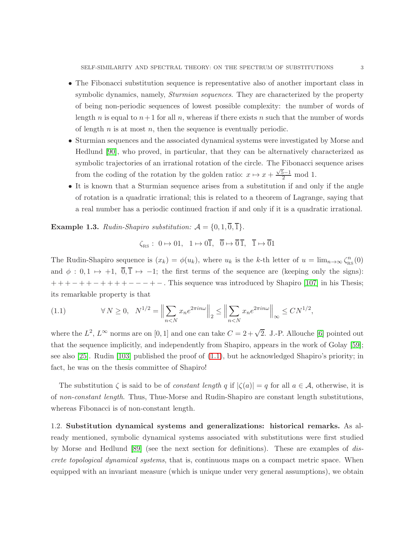- The Fibonacci substitution sequence is representative also of another important class in symbolic dynamics, namely, *Sturmian sequences*. They are characterized by the property of being non-periodic sequences of lowest possible complexity: the number of words of length n is equal to  $n+1$  for all n, whereas if there exists n such that the number of words of length  $n$  is at most  $n$ , then the sequence is eventually periodic.
- Sturmian sequences and the associated dynamical systems were investigated by Morse and Hedlund [\[90\]](#page-36-4), who proved, in particular, that they can be alternatively characterized as symbolic trajectories of an irrational rotation of the circle. The Fibonacci sequence arises from the coding of the rotation by the golden ratio:  $x \mapsto x + \frac{\sqrt{5}-1}{2}$  mod 1.
- It is known that a Sturmian sequence arises from a substitution if and only if the angle of rotation is a quadratic irrational; this is related to a theorem of Lagrange, saying that a real number has a periodic continued fraction if and only if it is a quadratic irrational.

**Example 1.3.** Rudin-Shapiro substitution:  $A = \{0, 1, \overline{0}, \overline{1}\}.$ 

$$
\zeta_{\text{RS}}: 0 \mapsto 01, \ 1 \mapsto 0\overline{1}, \ \overline{0} \mapsto \overline{0}\,\overline{1}, \ \overline{1} \mapsto \overline{0}1
$$

The Rudin-Shapiro sequence is  $(x_k) = \phi(u_k)$ , where  $u_k$  is the k-th letter of  $u = \lim_{n\to\infty} \zeta_{\text{RS}}^n(0)$ and  $\phi : 0, 1 \mapsto +1, 0, \overline{1} \mapsto -1$ ; the first terms of the sequence are (keeping only the signs):  $+++--++-+-+-$ . This sequence was introduced by Shapiro [\[107\]](#page-37-1) in his Thesis; its remarkable property is that

<span id="page-2-0"></span>(1.1) 
$$
\forall N \geq 0, \quad N^{1/2} = \left\| \sum_{n < N} x_n e^{2\pi i n \omega} \right\|_2 \leq \left\| \sum_{n < N} x_n e^{2\pi i n \omega} \right\|_\infty \leq C N^{1/2},
$$

where the  $L^2$ ,  $L^\infty$  norms are on [0, 1] and one can take  $C = 2 + \sqrt{2}$ . J.-P. Allouche [\[6\]](#page-32-1) pointed out that the sequence implicitly, and independently from Shapiro, appears in the work of Golay [\[59\]](#page-35-0); see also [\[25\]](#page-33-0). Rudin [\[103\]](#page-37-2) published the proof of  $(1.1)$ , but he acknowledged Shapiro's priority; in fact, he was on the thesis committee of Shapiro!

The substitution  $\zeta$  is said to be of *constant length q* if  $|\zeta(a)| = q$  for all  $a \in \mathcal{A}$ , otherwise, it is of non-constant length. Thus, Thue-Morse and Rudin-Shapiro are constant length substitutions, whereas Fibonacci is of non-constant length.

1.2. Substitution dynamical systems and generalizations: historical remarks. As already mentioned, symbolic dynamical systems associated with substitutions were first studied by Morse and Hedlund [\[89\]](#page-36-2) (see the next section for definitions). These are examples of discrete topological dynamical systems, that is, continuous maps on a compact metric space. When equipped with an invariant measure (which is unique under very general assumptions), we obtain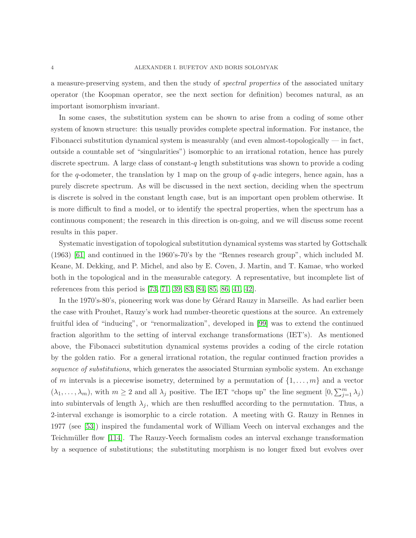a measure-preserving system, and then the study of spectral properties of the associated unitary operator (the Koopman operator, see the next section for definition) becomes natural, as an important isomorphism invariant.

In some cases, the substitution system can be shown to arise from a coding of some other system of known structure: this usually provides complete spectral information. For instance, the Fibonacci substitution dynamical system is measurably (and even almost-topologically — in fact, outside a countable set of "singularities") isomorphic to an irrational rotation, hence has purely discrete spectrum. A large class of constant-q length substitutions was shown to provide a coding for the  $q$ -odometer, the translation by 1 map on the group of  $q$ -adic integers, hence again, has a purely discrete spectrum. As will be discussed in the next section, deciding when the spectrum is discrete is solved in the constant length case, but is an important open problem otherwise. It is more difficult to find a model, or to identify the spectral properties, when the spectrum has a continuous component; the research in this direction is on-going, and we will discuss some recent results in this paper.

Systematic investigation of topological substitution dynamical systems was started by Gottschalk (1963) [\[61\]](#page-35-1) and continued in the 1960's-70's by the "Rennes research group", which included M. Keane, M. Dekking, and P. Michel, and also by E. Coven, J. Martin, and T. Kamae, who worked both in the topological and in the measurable category. A representative, but incomplete list of references from this period is [\[73,](#page-35-2) [71,](#page-35-3) [39,](#page-34-0) [83,](#page-36-5) [84,](#page-36-6) [85,](#page-36-7) [86,](#page-36-8) [41,](#page-34-1) [42\]](#page-34-2).

In the 1970's-80's, pioneering work was done by Gérard Rauzy in Marseille. As had earlier been the case with Prouhet, Rauzy's work had number-theoretic questions at the source. An extremely fruitful idea of "inducing", or "renormalization", developed in [\[99\]](#page-36-9) was to extend the continued fraction algorithm to the setting of interval exchange transformations (IET's). As mentioned above, the Fibonacci substitution dynamical systems provides a coding of the circle rotation by the golden ratio. For a general irrational rotation, the regular continued fraction provides a sequence of substitutions, which generates the associated Sturmian symbolic system. An exchange of m intervals is a piecewise isometry, determined by a permutation of  $\{1, \ldots, m\}$  and a vector  $(\lambda_1,\ldots,\lambda_m)$ , with  $m\geq 2$  and all  $\lambda_j$  positive. The IET "chops up" the line segment  $[0,\sum_{j=1}^m\lambda_j)$ into subintervals of length  $\lambda_i$ , which are then reshuffled according to the permutation. Thus, a 2-interval exchange is isomorphic to a circle rotation. A meeting with G. Rauzy in Rennes in 1977 (see [\[53\]](#page-34-3)) inspired the fundamental work of William Veech on interval exchanges and the Teichmüller flow [\[114\]](#page-37-3). The Rauzy-Veech formalism codes an interval exchange transformation by a sequence of substitutions; the substituting morphism is no longer fixed but evolves over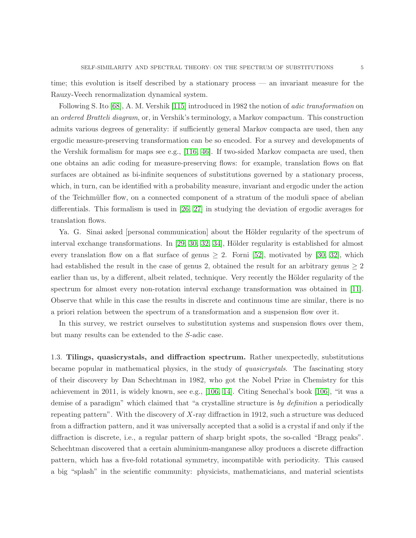time; this evolution is itself described by a stationary process — an invariant measure for the Rauzy-Veech renormalization dynamical system.

Following S. Ito [\[68\]](#page-35-4), A. M. Vershik [\[115\]](#page-37-4) introduced in 1982 the notion of adic transformation on an ordered Bratteli diagram, or, in Vershik's terminology, a Markov compactum. This construction admits various degrees of generality: if sufficiently general Markov compacta are used, then any ergodic measure-preserving transformation can be so encoded. For a survey and developments of the Vershik formalism for maps see e.g., [\[116,](#page-37-5) [46\]](#page-34-4). If two-sided Markov compacta are used, then one obtains an adic coding for measure-preserving flows: for example, translation flows on flat surfaces are obtained as bi-infinite sequences of substitutions governed by a stationary process, which, in turn, can be identified with a probability measure, invariant and ergodic under the action of the Teichmüller flow, on a connected component of a stratum of the moduli space of abelian differentials. This formalism is used in [\[26,](#page-33-1) [27\]](#page-33-2) in studying the deviation of ergodic averages for translation flows.

Ya. G. Sinai asked [personal communication] about the Hölder regularity of the spectrum of interval exchange transformations. In  $[29, 30, 32, 34]$  $[29, 30, 32, 34]$  $[29, 30, 32, 34]$  $[29, 30, 32, 34]$ , Hölder regularity is established for almost every translation flow on a flat surface of genus  $\geq 2$ . Forni [\[52\]](#page-34-6), motivated by [\[30,](#page-33-4) [32\]](#page-33-5), which had established the result in the case of genus 2, obtained the result for an arbitrary genus  $\geq 2$ earlier than us, by a different, albeit related, technique. Very recently the Hölder regularity of the spectrum for almost every non-rotation interval exchange transformation was obtained in [\[11\]](#page-32-2). Observe that while in this case the results in discrete and continuous time are similar, there is no a priori relation between the spectrum of a transformation and a suspension flow over it.

In this survey, we restrict ourselves to substitution systems and suspension flows over them, but many results can be extended to the S-adic case.

1.3. Tilings, quasicrystals, and diffraction spectrum. Rather unexpectedly, substitutions became popular in mathematical physics, in the study of quasicrystals. The fascinating story of their discovery by Dan Schechtman in 1982, who got the Nobel Prize in Chemistry for this achievement in 2011, is widely known, see e.g., [\[106,](#page-37-6) [14\]](#page-33-6). Citing Senechal's book [\[106\]](#page-37-6), "it was a demise of a paradigm" which claimed that "a crystalline structure is by definition a periodically repeating pattern". With the discovery of  $X$ -ray diffraction in 1912, such a structure was deduced from a diffraction pattern, and it was universally accepted that a solid is a crystal if and only if the diffraction is discrete, i.e., a regular pattern of sharp bright spots, the so-called "Bragg peaks". Schechtman discovered that a certain aluminium-manganese alloy produces a discrete diffraction pattern, which has a five-fold rotational symmetry, incompatible with periodicity. This caused a big "splash" in the scientific community: physicists, mathematicians, and material scientists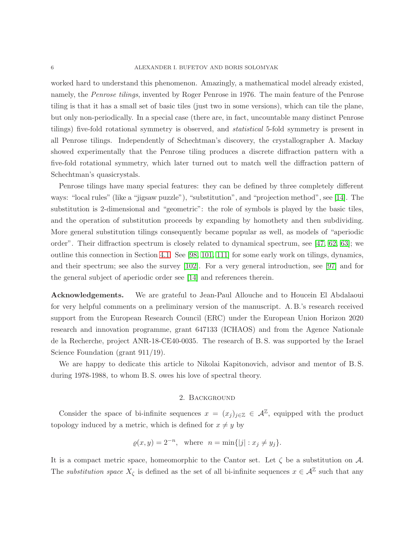worked hard to understand this phenomenon. Amazingly, a mathematical model already existed, namely, the *Penrose tilings*, invented by Roger Penrose in 1976. The main feature of the Penrose tiling is that it has a small set of basic tiles (just two in some versions), which can tile the plane, but only non-periodically. In a special case (there are, in fact, uncountable many distinct Penrose tilings) five-fold rotational symmetry is observed, and statistical 5-fold symmetry is present in all Penrose tilings. Independently of Schechtman's discovery, the crystallographer A. Mackay showed experimentally that the Penrose tiling produces a discrete diffraction pattern with a five-fold rotational symmetry, which later turned out to match well the diffraction pattern of Schechtman's quasicrystals.

Penrose tilings have many special features: they can be defined by three completely different ways: "local rules" (like a "jigsaw puzzle"), "substitution", and "projection method", see [\[14\]](#page-33-6). The substitution is 2-dimensional and "geometric": the role of symbols is played by the basic tiles, and the operation of substitution proceeds by expanding by homothety and then subdividing. More general substitution tilings consequently became popular as well, as models of "aperiodic order". Their diffraction spectrum is closely related to dynamical spectrum, see [\[47,](#page-34-7) [62,](#page-35-5) [63\]](#page-35-6); we outline this connection in Section [4.1.](#page-18-0) See [\[98,](#page-36-10) [101,](#page-37-7) [111\]](#page-37-8) for some early work on tilings, dynamics, and their spectrum; see also the survey [\[102\]](#page-37-9). For a very general introduction, see [\[97\]](#page-36-11) and for the general subject of aperiodic order see [\[14\]](#page-33-6) and references therein.

Acknowledgements. We are grateful to Jean-Paul Allouche and to Houcein El Abdalaoui for very helpful comments on a preliminary version of the manuscript. A. B.'s research received support from the European Research Council (ERC) under the European Union Horizon 2020 research and innovation programme, grant 647133 (ICHAOS) and from the Agence Nationale de la Recherche, project ANR-18-CE40-0035. The research of B. S. was supported by the Israel Science Foundation (grant 911/19).

We are happy to dedicate this article to Nikolai Kapitonovich, advisor and mentor of B. S. during 1978-1988, to whom B. S. owes his love of spectral theory.

## 2. Background

Consider the space of bi-infinite sequences  $x = (x_j)_{j \in \mathbb{Z}} \in \mathcal{A}^{\mathbb{Z}}$ , equipped with the product topology induced by a metric, which is defined for  $x \neq y$  by

$$
\rho(x, y) = 2^{-n}
$$
, where  $n = \min\{|j| : x_j \neq y_j\}$ .

It is a compact metric space, homeomorphic to the Cantor set. Let  $\zeta$  be a substitution on A. The *substitution space*  $X_{\zeta}$  is defined as the set of all bi-infinite sequences  $x \in \mathcal{A}^{\mathbb{Z}}$  such that any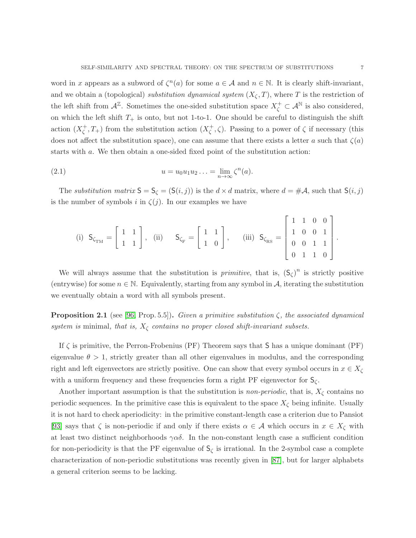word in x appears as a subword of  $\zeta^{n}(a)$  for some  $a \in \mathcal{A}$  and  $n \in \mathbb{N}$ . It is clearly shift-invariant, and we obtain a (topological) substitution dynamical system  $(X_{\zeta}, T)$ , where T is the restriction of the left shift from  $\mathcal{A}^{\mathbb{Z}}$ . Sometimes the one-sided substitution space  $X_{\zeta}^{+} \subset \mathcal{A}^{\mathbb{N}}$  is also considered, on which the left shift  $T_+$  is onto, but not 1-to-1. One should be careful to distinguish the shift action  $(X_{\zeta}^+)$  $(\zeta^+, T_+)$  from the substitution action  $(X_{\zeta}^+)$  $(\zeta^+, \zeta)$ . Passing to a power of  $\zeta$  if necessary (this does not affect the substitution space), one can assume that there exists a letter a such that  $\zeta(a)$ starts with a. We then obtain a one-sided fixed point of the substitution action:

(2.1) 
$$
u = u_0 u_1 u_2 \dots = \lim_{n \to \infty} \zeta^n(a).
$$

The substitution matrix  $S = S_{\zeta} = (S(i, j))$  is the  $d \times d$  matrix, where  $d = \# \mathcal{A}$ , such that  $S(i, j)$ is the number of symbols i in  $\zeta(j)$ . In our examples we have

<span id="page-6-0"></span>(i) 
$$
S_{\zeta_{TM}} = \begin{bmatrix} 1 & 1 \\ 1 & 1 \end{bmatrix}
$$
, (ii)  $S_{\zeta_F} = \begin{bmatrix} 1 & 1 \\ 1 & 0 \end{bmatrix}$ , (iii)  $S_{\zeta_{RS}} = \begin{bmatrix} 1 & 1 & 0 & 0 \\ 1 & 0 & 0 & 1 \\ 0 & 0 & 1 & 1 \\ 0 & 1 & 1 & 0 \end{bmatrix}$ .

We will always assume that the substitution is *primitive*, that is,  $(S_{\zeta})^n$  is strictly positive (entrywise) for some  $n \in \mathbb{N}$ . Equivalently, starting from any symbol in A, iterating the substitution we eventually obtain a word with all symbols present.

**Proposition 2.1** (see [\[96,](#page-36-12) Prop. 5.5]). Given a primitive substitution  $\zeta$ , the associated dynamical system is minimal, that is,  $X_{\zeta}$  contains no proper closed shift-invariant subsets.

If  $\zeta$  is primitive, the Perron-Frobenius (PF) Theorem says that S has a unique dominant (PF) eigenvalue  $\theta > 1$ , strictly greater than all other eigenvalues in modulus, and the corresponding right and left eigenvectors are strictly positive. One can show that every symbol occurs in  $x \in X_{\zeta}$ with a uniform frequency and these frequencies form a right PF eigenvector for  $S_{\zeta}$ .

Another important assumption is that the substitution is *non-periodic*, that is,  $X_{\zeta}$  contains no periodic sequences. In the primitive case this is equivalent to the space  $X_{\zeta}$  being infinite. Usually it is not hard to check aperiodicity: in the primitive constant-length case a criterion due to Pansiot [\[93\]](#page-36-13) says that  $\zeta$  is non-periodic if and only if there exists  $\alpha \in \mathcal{A}$  which occurs in  $x \in X_{\zeta}$  with at least two distinct neighborhoods  $\gamma \alpha \delta$ . In the non-constant length case a sufficient condition for non-periodicity is that the PF eigenvalue of  $S_{\zeta}$  is irrational. In the 2-symbol case a complete characterization of non-periodic substitutions was recently given in [\[87\]](#page-36-14), but for larger alphabets a general criterion seems to be lacking.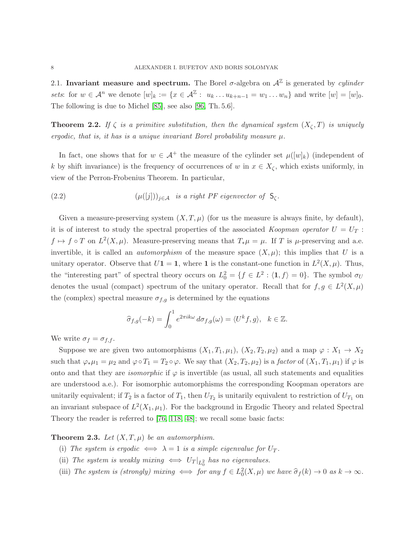2.1. Invariant measure and spectrum. The Borel  $\sigma$ -algebra on  $\mathcal{A}^{\mathbb{Z}}$  is generated by *cylinder* sets: for  $w \in \mathcal{A}^n$  we denote  $[w]_k := \{x \in \mathcal{A}^\mathbb{Z} : u_k \dots u_{k+n-1} = w_1 \dots w_n\}$  and write  $[w] = [w]_0$ . The following is due to Michel [\[85\]](#page-36-7), see also [\[96,](#page-36-12) Th. 5.6].

**Theorem 2.2.** If  $\zeta$  is a primitive substitution, then the dynamical system  $(X_{\zeta},T)$  is uniquely ergodic, that is, it has is a unique invariant Borel probability measure  $\mu$ .

In fact, one shows that for  $w \in A^+$  the measure of the cylinder set  $\mu([w]_k)$  (independent of k by shift invariance) is the frequency of occurrences of w in  $x \in X_{\zeta}$ , which exists uniformly, in view of the Perron-Frobenius Theorem. In particular,

<span id="page-7-1"></span>(2.2) 
$$
(\mu([j]))_{j\in\mathcal{A}} \text{ is a right } PF \text{ eigenvector of } S_{\zeta}.
$$

Given a measure-preserving system  $(X, T, \mu)$  (for us the measure is always finite, by default), it is of interest to study the spectral properties of the associated Koopman operator  $U = U_T$ :  $f \mapsto f \circ T$  on  $L^2(X, \mu)$ . Measure-preserving means that  $T_*\mu = \mu$ . If T is  $\mu$ -preserving and a.e. invertible, it is called an *automorphism* of the measure space  $(X, \mu)$ ; this implies that U is a unitary operator. Observe that  $U\mathbf{1} = \mathbf{1}$ , where **1** is the constant-one function in  $L^2(X, \mu)$ . Thus, the "interesting part" of spectral theory occurs on  $L_0^2 = \{f \in L^2 : \langle \mathbf{1}, f \rangle = 0\}$ . The symbol  $\sigma_U$ denotes the usual (compact) spectrum of the unitary operator. Recall that for  $f, g \in L^2(X, \mu)$ the (complex) spectral measure  $\sigma_{f,q}$  is determined by the equations

$$
\widehat{\sigma}_{f,g}(-k) = \int_0^1 e^{2\pi ik\omega} d\sigma_{f,g}(\omega) = \langle U^k f, g \rangle, \quad k \in \mathbb{Z}.
$$

We write  $\sigma_f = \sigma_{f,f}$ .

Suppose we are given two automorphisms  $(X_1, T_1, \mu_1), (X_2, T_2, \mu_2)$  and a map  $\varphi : X_1 \to X_2$ such that  $\varphi_*\mu_1 = \mu_2$  and  $\varphi \circ T_1 = T_2 \circ \varphi$ . We say that  $(X_2, T_2, \mu_2)$  is a *factor* of  $(X_1, T_1, \mu_1)$  if  $\varphi$  is onto and that they are *isomorphic* if  $\varphi$  is invertible (as usual, all such statements and equalities are understood a.e.). For isomorphic automorphisms the corresponding Koopman operators are unitarily equivalent; if  $T_2$  is a factor of  $T_1$ , then  $U_{T_2}$  is unitarily equivalent to restriction of  $U_{T_1}$  on an invariant subspace of  $L^2(X_1,\mu_1)$ . For the background in Ergodic Theory and related Spectral Theory the reader is referred to [\[76,](#page-35-7) [118,](#page-37-10) [48\]](#page-34-8); we recall some basic facts:

## <span id="page-7-0"></span>**Theorem 2.3.** Let  $(X, T, \mu)$  be an automorphism.

- (i) The system is ergodic  $\iff \lambda = 1$  is a simple eigenvalue for  $U_T$ .
- (ii) The system is weakly mixing  $\iff U_T|_{L^2_0}$  has no eigenvalues.
- (iii) The system is (strongly) mixing  $\iff$  for any  $f \in L_0^2(X,\mu)$  we have  $\widehat{\sigma}_f(k) \to 0$  as  $k \to \infty$ .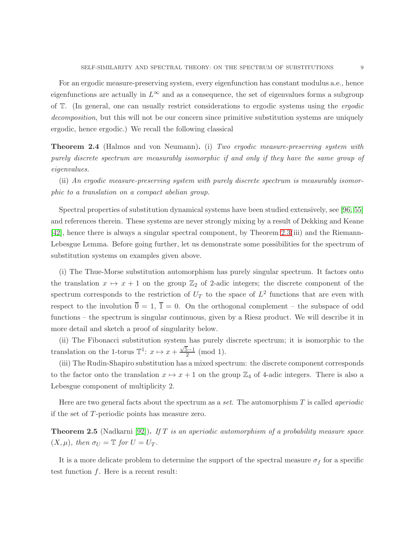For an ergodic measure-preserving system, every eigenfunction has constant modulus a.e., hence eigenfunctions are actually in  $L^{\infty}$  and as a consequence, the set of eigenvalues forms a subgroup of T. (In general, one can usually restrict considerations to ergodic systems using the ergodic decomposition, but this will not be our concern since primitive substitution systems are uniquely ergodic, hence ergodic.) We recall the following classical

**Theorem 2.4** (Halmos and von Neumann). (i) Two ergodic measure-preserving system with purely discrete spectrum are measurably isomorphic if and only if they have the same group of eigenvalues.

(ii) An ergodic measure-preserving system with purely discrete spectrum is measurably isomorphic to a translation on a compact abelian group.

Spectral properties of substitution dynamical systems have been studied extensively, see [\[96,](#page-36-12) [55\]](#page-34-9) and references therein. These systems are never strongly mixing by a result of Dekking and Keane [\[42\]](#page-34-2), hence there is always a singular spectral component, by Theorem [2.3\(](#page-7-0)iii) and the Riemann-Lebesgue Lemma. Before going further, let us demonstrate some possibilities for the spectrum of substitution systems on examples given above.

(i) The Thue-Morse substitution automorphism has purely singular spectrum. It factors onto the translation  $x \mapsto x + 1$  on the group  $\mathbb{Z}_2$  of 2-adic integers; the discrete component of the spectrum corresponds to the restriction of  $U_T$  to the space of  $L^2$  functions that are even with respect to the involution  $\overline{0} = 1$ ,  $\overline{1} = 0$ . On the orthogonal complement – the subspace of odd functions – the spectrum is singular continuous, given by a Riesz product. We will describe it in more detail and sketch a proof of singularity below.

(ii) The Fibonacci substitution system has purely discrete spectrum; it is isomorphic to the translation on the 1-torus  $\mathbb{T}^1$ :  $x \mapsto x + \frac{\sqrt{5}-1}{2} \pmod{1}$ .

(iii) The Rudin-Shapiro substitution has a mixed spectrum: the discrete component corresponds to the factor onto the translation  $x \mapsto x + 1$  on the group  $\mathbb{Z}_4$  of 4-adic integers. There is also a Lebesgue component of multiplicity 2.

Here are two general facts about the spectrum as a set. The automorphism  $T$  is called *aperiodic* if the set of T-periodic points has measure zero.

**Theorem 2.5** (Nadkarni [\[92\]](#page-36-15)). If T is an aperiodic automorphism of a probability measure space  $(X, \mu)$ , then  $\sigma_U = \mathbb{T}$  for  $U = U_T$ .

It is a more delicate problem to determine the support of the spectral measure  $\sigma_f$  for a specific test function  $f$ . Here is a recent result: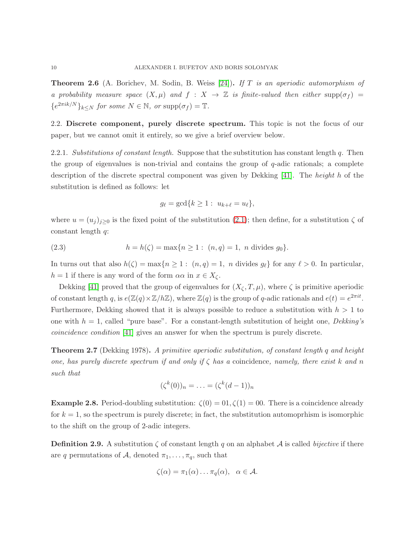**Theorem 2.6** (A. Borichev, M. Sodin, B. Weiss [\[24\]](#page-33-7)). If T is an aperiodic automorphism of a probability measure space  $(X, \mu)$  and  $f : X \to \mathbb{Z}$  is finite-valued then either supp $(\sigma_f)$  =  $\{e^{2\pi i k/N}\}_{k\leq N}$  for some  $N \in \mathbb{N}$ , or  $\text{supp}(\sigma_f) = \mathbb{T}$ .

2.2. Discrete component, purely discrete spectrum. This topic is not the focus of our paper, but we cannot omit it entirely, so we give a brief overview below.

2.2.1. Substitutions of constant length. Suppose that the substitution has constant length  $q$ . Then the group of eigenvalues is non-trivial and contains the group of q-adic rationals; a complete description of the discrete spectral component was given by Dekking [\[41\]](#page-34-1). The height h of the substitution is defined as follows: let

$$
g_{\ell} = \gcd\{k \geq 1: u_{k+\ell} = u_{\ell}\},\
$$

where  $u = (u_j)_{j \geq 0}$  is the fixed point of the substitution [\(2.1\)](#page-6-0); then define, for a substitution  $\zeta$  of constant length q:

(2.3) 
$$
h = h(\zeta) = \max\{n \ge 1: (n, q) = 1, n \text{ divides } g_0\}.
$$

In turns out that also  $h(\zeta) = \max\{n \geq 1 : (n, q) = 1, n \text{ divides } g_\ell\}$  for any  $\ell > 0$ . In particular,  $h = 1$  if there is any word of the form  $\alpha \alpha$  in  $x \in X_{\zeta}$ .

Dekking [\[41\]](#page-34-1) proved that the group of eigenvalues for  $(X_{\zeta}, T, \mu)$ , where  $\zeta$  is primitive aperiodic of constant length q, is  $e(\mathbb{Z}(q) \times \mathbb{Z}/h\mathbb{Z})$ , where  $\mathbb{Z}(q)$  is the group of q-adic rationals and  $e(t) = e^{2\pi it}$ . Furthermore, Dekking showed that it is always possible to reduce a substitution with  $h > 1$  to one with  $h = 1$ , called "pure base". For a constant-length substitution of height one, Dekking's coincidence condition [\[41\]](#page-34-1) gives an answer for when the spectrum is purely discrete.

<span id="page-9-0"></span>**Theorem 2.7** (Dekking 1978). A primitive aperiodic substitution, of constant length q and height one, has purely discrete spectrum if and only if  $\zeta$  has a coincidence, namely, there exist k and n such that

$$
(\zeta^k(0))_n = \ldots = (\zeta^k(d-1))_n
$$

**Example 2.8.** Period-doubling substitution:  $\zeta(0) = 0.1$ ,  $\zeta(1) = 0.0$ . There is a coincidence already for  $k = 1$ , so the spectrum is purely discrete; in fact, the substitution automoprhism is isomorphic to the shift on the group of 2-adic integers.

<span id="page-9-1"></span>**Definition 2.9.** A substitution  $\zeta$  of constant length q on an alphabet A is called bijective if there are q permutations of A, denoted  $\pi_1, \ldots, \pi_q$ , such that

$$
\zeta(\alpha)=\pi_1(\alpha)\ldots\pi_q(\alpha), \quad \alpha\in\mathcal{A}.
$$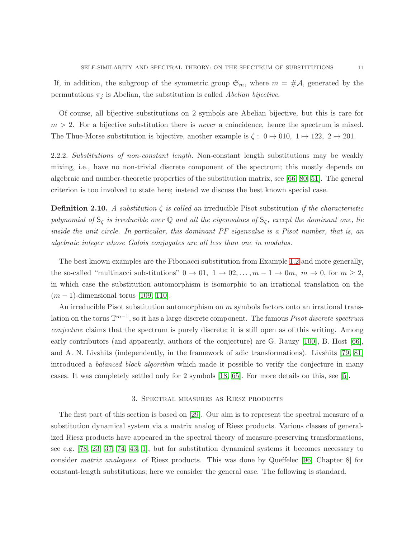If, in addition, the subgroup of the symmetric group  $\mathfrak{S}_m$ , where  $m = \#A$ , generated by the permutations  $\pi_j$  is Abelian, the substitution is called Abelian bijective.

Of course, all bijective substitutions on 2 symbols are Abelian bijective, but this is rare for  $m > 2$ . For a bijective substitution there is *never* a coincidence, hence the spectrum is mixed. The Thue-Morse substitution is bijective, another example is  $\zeta: 0 \mapsto 010, 1 \mapsto 122, 2 \mapsto 201$ .

2.2.2. Substitutions of non-constant length. Non-constant length substitutions may be weakly mixing, i.e., have no non-trivial discrete component of the spectrum; this mostly depends on algebraic and number-theoretic properties of the substitution matrix, see [\[66,](#page-35-8) [80,](#page-36-16) [51\]](#page-34-10). The general criterion is too involved to state here; instead we discuss the best known special case.

**Definition 2.10.** A substitution  $\zeta$  is called an irreducible Pisot substitution if the characteristic polynomial of  $S_\zeta$  is irreducible over  $\mathbb Q$  and all the eigenvalues of  $S_\zeta$ , except the dominant one, lie inside the unit circle. In particular, this dominant PF eigenvalue is a Pisot number, that is, an algebraic integer whose Galois conjugates are all less than one in modulus.

The best known examples are the Fibonacci substitution from Example [1.2](#page-1-0) and more generally, the so-called "multinacci substitutions"  $0 \to 01$ ,  $1 \to 02, \ldots, m-1 \to 0m$ ,  $m \to 0$ , for  $m \ge 2$ , in which case the substitution automorphism is isomorphic to an irrational translation on the  $(m-1)$ -dimensional torus [\[109,](#page-37-11) [110\]](#page-37-12).

An irreducible Pisot substitution automorphism on m symbols factors onto an irrational translation on the torus  $\mathbb{T}^{m-1}$ , so it has a large discrete component. The famous *Pisot discrete spectrum* conjecture claims that the spectrum is purely discrete; it is still open as of this writing. Among early contributors (and apparently, authors of the conjecture) are G. Rauzy [\[100\]](#page-36-17), B. Host [\[66\]](#page-35-8), and A. N. Livshits (independently, in the framework of adic transformations). Livshits [\[79,](#page-35-9) [81\]](#page-36-18) introduced a *balanced block algorithm* which made it possible to verify the conjecture in many cases. It was completely settled only for 2 symbols [\[18,](#page-33-8) [65\]](#page-35-10). For more details on this, see [\[5\]](#page-32-3).

#### 3. Spectral measures as Riesz products

<span id="page-10-0"></span>The first part of this section is based on [\[29\]](#page-33-3). Our aim is to represent the spectral measure of a substitution dynamical system via a matrix analog of Riesz products. Various classes of generalized Riesz products have appeared in the spectral theory of measure-preserving transformations, see e.g. [\[78,](#page-35-11) [23,](#page-33-9) [37,](#page-34-11) [74,](#page-35-12) [43,](#page-34-12) [1\]](#page-32-4), but for substitution dynamical systems it becomes necessary to consider matrix analogues of Riesz products. This was done by Queffelec [\[96,](#page-36-12) Chapter 8] for constant-length substitutions; here we consider the general case. The following is standard.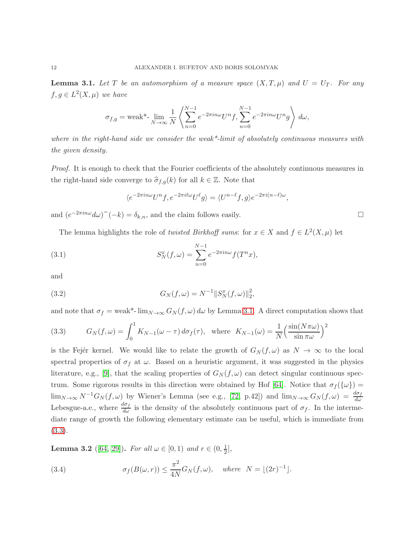<span id="page-11-0"></span>**Lemma 3.1.** Let T be an automorphism of a measure space  $(X, T, \mu)$  and  $U = U_T$ . For any  $f, g \in L^2(X, \mu)$  we have

$$
\sigma_{f,g} = \text{weak*-}\lim_{N \to \infty} \frac{1}{N} \left\langle \sum_{n=0}^{N-1} e^{-2\pi i n \omega} U^n f, \sum_{n=0}^{N-1} e^{-2\pi i n \omega} U^n g \right\rangle d\omega,
$$

where in the right-hand side we consider the weak<sup>\*</sup>-limit of absolutely continuous measures with the given density.

Proof. It is enough to check that the Fourier coefficients of the absolutely continuous measures in the right-hand side converge to  $\hat{\sigma}_{f,q}(k)$  for all  $k \in \mathbb{Z}$ . Note that

$$
\langle e^{-2\pi i n\omega}U^n f, e^{-2\pi i \ell \omega}U^{\ell} g \rangle = \langle U^{n-\ell} f, g \rangle e^{-2\pi i (n-\ell)\omega},
$$

and  $(e^{-2\pi i n\omega}d\omega)\hat{ }^(-k) = \delta_{k,n}$ , and the claim follows easily.

The lemma highlights the role of *twisted Birkhoff sums*: for  $x \in X$  and  $f \in L^2(X, \mu)$  let

(3.1) 
$$
S_N^x(f, \omega) = \sum_{n=0}^{N-1} e^{-2\pi i n \omega} f(T^n x),
$$

and

(3.2) 
$$
G_N(f, \omega) = N^{-1} ||S_N^x(f, \omega)||_2^2,
$$

and note that  $\sigma_f = \text{weak}^*$ -  $\lim_{N\to\infty} G_N(f,\omega) d\omega$  by Lemma [3.1.](#page-11-0) A direct computation shows that

<span id="page-11-1"></span>(3.3) 
$$
G_N(f, \omega) = \int_0^1 K_{N-1}(\omega - \tau) d\sigma_f(\tau), \text{ where } K_{N-1}(\omega) = \frac{1}{N} \left(\frac{\sin(N\pi\omega)}{\sin \pi\omega}\right)^2
$$

is the Fejer kernel. We would like to relate the growth of  $G_N(f, \omega)$  as  $N \to \infty$  to the local spectral properties of  $\sigma_f$  at  $\omega$ . Based on a heuristic argument, it was suggested in the physics literature, e.g., [\[9\]](#page-32-5), that the scaling properties of  $G_N(f,\omega)$  can detect singular continuous spec-trum. Some rigorous results in this direction were obtained by Hof [\[64\]](#page-35-13). Notice that  $\sigma_f(\{\omega\})$  =  $\lim_{N\to\infty} N^{-1}G_N(f,\omega)$  by Wiener's Lemma (see e.g., [\[72,](#page-35-14) p.42]) and  $\lim_{N\to\infty} G_N(f,\omega) = \frac{d\sigma_f}{d\omega}$ Lebesgue-a.e., where  $\frac{d\sigma_f}{d\omega}$  is the density of the absolutely continuous part of  $\sigma_f$ . In the intermediate range of growth the following elementary estimate can be useful, which is immediate from [\(3.3\)](#page-11-1).

**Lemma 3.2** ([\[64,](#page-35-13) [29\]](#page-33-3)). For all  $\omega \in [0, 1)$  and  $r \in (0, \frac{1}{2})$  $\frac{1}{2}$ ,

(3.4) 
$$
\sigma_f(B(\omega, r)) \leq \frac{\pi^2}{4N} G_N(f, \omega), \quad \text{where} \quad N = \lfloor (2r)^{-1} \rfloor.
$$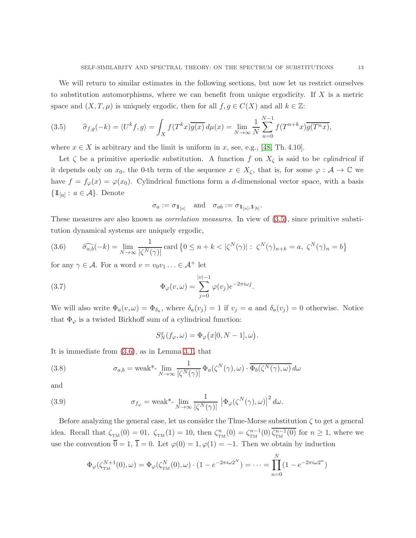We will return to similar estimates in the following sections, but now let us restrict ourselves to substitution automorphisms, where we can benefit from unique ergodicity. If  $X$  is a metric space and  $(X, T, \mu)$  is uniquely ergodic, then for all  $f, g \in C(X)$  and all  $k \in \mathbb{Z}$ :

<span id="page-12-0"></span>(3.5) 
$$
\hat{\sigma}_{f,g}(-k) = \langle U^k f, g \rangle = \int_X f(T^k x) \overline{g(x)} \, d\mu(x) = \lim_{N \to \infty} \frac{1}{N} \sum_{n=0}^{N-1} f(T^{n+k} x) \overline{g(T^n x)},
$$

where  $x \in X$  is arbitrary and the limit is uniform in x, see, e.g., [\[48,](#page-34-8) Th. 4.10].

Let  $\zeta$  be a primitive aperiodic substitution. A function f on  $X_{\zeta}$  is said to be *cylindrical* if it depends only on  $x_0$ , the 0-th term of the sequence  $x \in X_{\zeta}$ , that is, for some  $\varphi : A \to \mathbb{C}$  we have  $f = f_{\varphi}(x) = \varphi(x_0)$ . Cylindrical functions form a d-dimensional vector space, with a basis  $\{\mathbb{1}_{[a]}: a \in \mathcal{A}\}\.$  Denote

$$
\sigma_a := \sigma_{1\!\!1_{[a]}} \quad \text{and} \quad \sigma_{ab} := \sigma_{1\!\!1_{[a]},1\!\!1_{[b]}}.
$$

These measures are also known as *correlation measures*. In view of  $(3.5)$ , since primitive substitution dynamical systems are uniquely ergodic,

<span id="page-12-1"></span>(3.6) 
$$
\widehat{\sigma_{a,b}}(-k) = \lim_{N \to \infty} \frac{1}{|\zeta^N(\gamma)|} \operatorname{card} \{ 0 \le n + k < |\zeta^N(\gamma)| : \ \zeta^N(\gamma)_{n+k} = a, \ \zeta^N(\gamma)_n = b \}
$$

for any  $\gamma \in \mathcal{A}$ . For a word  $v = v_0v_1 \ldots \in \mathcal{A}^+$  let

(3.7) 
$$
\Phi_{\varphi}(v,\omega) = \sum_{j=0}^{|v|-1} \varphi(v_j) e^{-2\pi i \omega j}.
$$

We will also write  $\Phi_a(v,\omega) = \Phi_{\delta_a}$ , where  $\delta_a(v_j) = 1$  if  $v_j = a$  and  $\delta_a(v_j) = 0$  otherwise. Notice that  $\Phi_{\varphi}$  is a twisted Birkhoff sum of a cylindrical function:

<span id="page-12-4"></span><span id="page-12-3"></span><span id="page-12-2"></span>
$$
S_N^x(f_\varphi,\omega)=\Phi_\varphi\big(x[0,N-1],\omega\big).
$$

It is immediate from [\(3.6\)](#page-12-1), as in Lemma [3.1,](#page-11-0) that

(3.8) 
$$
\sigma_{a,b} = \text{weak}^* - \lim_{N \to \infty} \frac{1}{|\zeta^N(\gamma)|} \Phi_a(\zeta^N(\gamma), \omega) \cdot \overline{\Phi_b(\zeta^N(\gamma), \omega)} d\omega
$$

and

(3.9) 
$$
\sigma_{f_{\varphi}} = \text{weak}^* - \lim_{N \to \infty} \frac{1}{|\zeta^N(\gamma)|} \left| \Phi_{\varphi}(\zeta^N(\gamma), \omega) \right|^2 d\omega.
$$

Before analyzing the general case, let us consider the Thue-Morse substitution  $\zeta$  to get a general idea. Recall that  $\zeta_{TM}(0) = 0.1$ ,  $\zeta_{TM}(1) = 10$ , then  $\zeta_{TM}^n(0) = \zeta_{TM}^{n-1}(0) \overline{\zeta_{TM}^{n-1}(0)}$  for  $n \ge 1$ , where we use the convention  $\overline{0} = 1$ ,  $\overline{1} = 0$ . Let  $\varphi(0) = 1, \varphi(1) = -1$ . Then we obtain by induction

$$
\Phi_{\varphi}(\zeta_{TM}^{N+1}(0), \omega) = \Phi_{\varphi}(\zeta_{TM}^{N}(0), \omega) \cdot (1 - e^{-2\pi i \omega 2^{N}}) = \dots = \prod_{n=0}^{N} (1 - e^{-2\pi i \omega 2^{n}})
$$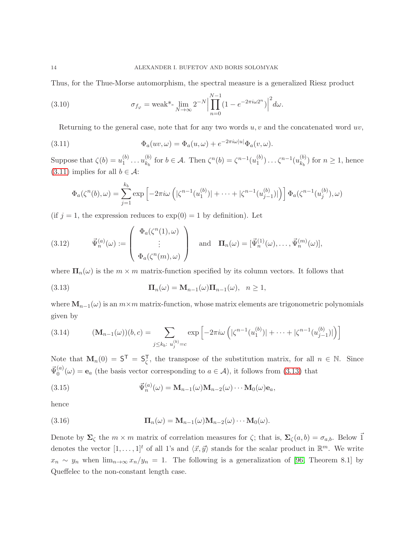Thus, for the Thue-Morse automorphism, the spectral measure is a generalized Riesz product

(3.10) 
$$
\sigma_{f_{\varphi}} = \text{weak*-}\lim_{N \to \infty} 2^{-N} \Big| \prod_{n=0}^{N-1} (1 - e^{-2\pi i \omega 2^n}) \Big|^2 d\omega.
$$

<span id="page-13-3"></span>Returning to the general case, note that for any two words  $u, v$  and the concatenated word  $uv$ ,

(3.11) 
$$
\Phi_a(uv,\omega) = \Phi_a(u,\omega) + e^{-2\pi i \omega |u|} \Phi_a(v,\omega).
$$

Suppose that  $\zeta(b) = u_1^{(b)}$  $a_1^{(b)} \dots u_{k_b}^{(b)}$  $\zeta_{k_b}^{(b)}$  for  $b \in \mathcal{A}$ . Then  $\zeta^{n}(b) = \zeta^{n-1}(u_1^{(b)})$  $\binom{b}{1}$ ... $\zeta^{n-1}(u_{k_b}^{(b)})$  $\binom{0}{k_b}$  for  $n \geq 1$ , hence [\(3.11\)](#page-13-0) implies for all  $b \in \mathcal{A}$ :

<span id="page-13-0"></span>
$$
\Phi_a(\zeta^n(b), \omega) = \sum_{j=1}^{k_b} \exp\left[-2\pi i\omega \left(|\zeta^{n-1}(u_1^{(b)})| + \dots + |\zeta^{n-1}(u_{j-1}^{(b)})|\right)\right] \Phi_a(\zeta^{n-1}(u_j^{(b)}), \omega)
$$

(if  $j = 1$ , the expression reduces to  $\exp(0) = 1$  by definition). Let

<span id="page-13-2"></span>(3.12) 
$$
\vec{\Psi}_n^{(a)}(\omega) := \begin{pmatrix} \Phi_a(\zeta^n(1), \omega) \\ \vdots \\ \Phi_a(\zeta^n(m), \omega) \end{pmatrix} \text{ and } \Pi_n(\omega) = [\vec{\Psi}_n^{(1)}(\omega), \dots, \vec{\Psi}_n^{(m)}(\omega)],
$$

where  $\Pi_n(\omega)$  is the  $m \times m$  matrix-function specified by its column vectors. It follows that

<span id="page-13-1"></span>(3.13) 
$$
\mathbf{\Pi}_n(\omega) = \mathbf{M}_{n-1}(\omega)\mathbf{\Pi}_{n-1}(\omega), \quad n \ge 1,
$$

where  $\mathbf{M}_{n-1}(\omega)$  is an  $m \times m$  matrix-function, whose matrix elements are trigonometric polynomials given by

<span id="page-13-4"></span>(3.14) 
$$
(\mathbf{M}_{n-1}(\omega))(b,c) = \sum_{j \le k_b: \ u_j^{(b)} = c} \exp\left[-2\pi i\omega \left(|\zeta^{n-1}(u_1^{(b)})| + \dots + |\zeta^{n-1}(u_{j-1}^{(b)})|\right)\right]
$$

Note that  $\mathbf{M}_n(0) = \mathsf{S}^{\mathsf{T}} = \mathsf{S}_{\zeta}^{\mathsf{T}}$ <sup>1</sup><sub> $\zeta$ </sub>, the transpose of the substitution matrix, for all  $n \in \mathbb{N}$ . Since  $\vec{\Psi}_0^{(a)}$  $\mathbf{e}_{0}^{(a)}(\omega) = \mathbf{e}_{a}$  (the basis vector corresponding to  $a \in \mathcal{A}$ ), it follows from [\(3.13\)](#page-13-1) that

(3.15) 
$$
\vec{\Psi}_n^{(a)}(\omega) = \mathbf{M}_{n-1}(\omega)\mathbf{M}_{n-2}(\omega)\cdots\mathbf{M}_0(\omega)\mathbf{e}_a,
$$

hence

(3.16) 
$$
\mathbf{\Pi}_n(\omega) = \mathbf{M}_{n-1}(\omega) \mathbf{M}_{n-2}(\omega) \cdots \mathbf{M}_0(\omega).
$$

Denote by  $\Sigma_{\zeta}$  the  $m \times m$  matrix of correlation measures for  $\zeta$ ; that is,  $\Sigma_{\zeta}(a, b) = \sigma_{a,b}$ . Below  $\vec{1}$ denotes the vector  $[1, \ldots, 1]^t$  of all 1's and  $\langle \vec{x}, \vec{y} \rangle$  stands for the scalar product in  $\mathbb{R}^m$ . We write  $x_n \sim y_n$  when  $\lim_{n\to\infty} x_n/y_n = 1$ . The following is a generalization of [\[96,](#page-36-12) Theorem 8.1] by Queffelec to the non-constant length case.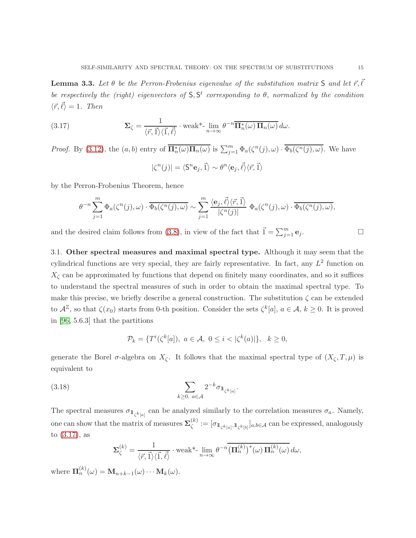<span id="page-14-2"></span>**Lemma 3.3.** Let  $\theta$  be the Perron-Frobenius eigenvalue of the substitution matrix S and let  $\vec{r}, \vec{\ell}$ be respectively the (right) eigenvectors of  $S, S^t$  corresponding to  $\theta$ , normalized by the condition  $\langle \vec{r}, \vec{\ell} \rangle = 1$ . Then

(3.17) 
$$
\mathbf{\Sigma}_{\zeta} = \frac{1}{\langle \vec{r}, \vec{1} \rangle \langle \vec{1}, \vec{\ell} \rangle} \cdot \text{weak*-} \lim_{n \to \infty} \theta^{-n} \overline{\mathbf{\Pi}_{n}^{*}(\omega) \mathbf{\Pi}_{n}(\omega)} d\omega.
$$

*Proof.* By [\(3.12\)](#page-13-2), the  $(a, b)$  entry of  $\overline{\mathbf{\Pi}_{n}^{*}(\omega)\mathbf{\Pi}_{n}(\omega)}$  is  $\sum_{j=1}^{m} \Phi_{a}(\zeta^{n}(j), \omega) \cdot \overline{\Phi_{b}(\zeta^{n}(j), \omega)}$ . We have

<span id="page-14-0"></span>
$$
|\zeta^{n}(j)| = \langle \mathsf{S}^{n} \mathbf{e}_{j}, \vec{\mathbf{1}} \rangle \sim \theta^{n} \langle \mathbf{e}_{j}, \vec{\ell} \rangle \langle \vec{r}, \vec{\mathbf{1}} \rangle
$$

by the Perron-Frobenius Theorem, hence

$$
\theta^{-n} \sum_{j=1}^m \Phi_a(\zeta^n(j), \omega) \cdot \overline{\Phi_b(\zeta^n(j), \omega)} \sim \sum_{j=1}^m \frac{\langle \mathbf{e}_j, \vec{\ell} \rangle \langle \vec{r}, \vec{1} \rangle}{|\zeta^n(j)|} \Phi_a(\zeta^n(j), \omega) \cdot \overline{\Phi_b(\zeta^n(j), \omega)},
$$

and the desired claim follows from [\(3.8\)](#page-12-2), in view of the fact that  $\vec{1} = \sum_{j=1}^{m} e_j$ .

3.1. Other spectral measures and maximal spectral type. Although it may seem that the cylindrical functions are very special, they are fairly representative. In fact, any  $L^2$  function on  $X_{\zeta}$  can be approximated by functions that depend on finitely many coordinates, and so it suffices to understand the spectral measures of such in order to obtain the maximal spectral type. To make this precise, we briefly describe a general construction. The substitution  $\zeta$  can be extended to  $\mathcal{A}^{\mathbb{Z}}$ , so that  $\zeta(x_0)$  starts from 0-th position. Consider the sets  $\zeta^k[a]$ ,  $a \in \mathcal{A}$ ,  $k \geq 0$ . It is proved in [\[96,](#page-36-12) 5.6.3] that the partitions

$$
\mathcal{P}_k = \{ T^i(\zeta^k[a]), \ a \in \mathcal{A}, \ 0 \le i < |\zeta^k(a)| \}, \ \ k \ge 0,
$$

generate the Borel  $\sigma$ -algebra on  $X_{\zeta}$ . It follows that the maximal spectral type of  $(X_{\zeta}, T, \mu)$  is equivalent to

<span id="page-14-1"></span>.

$$
\sum_{k\geq 0,\ a\in\mathcal{A}} 2^{-k} \sigma_{1\!\!1_{\zeta^k[a]}}
$$

The spectral measures  $\sigma_{\mathbb{1}_{\zeta^k[a]}}$  can be analyzed similarly to the correlation measures  $\sigma_a$ . Namely, one can show that the matrix of measures  $\Sigma^{(k)}_{\ell}$  $\mathcal{L}_{\zeta}^{(k)} := [\sigma_{1\mathcal{L}_{\zeta}^{k}[a]}, 1\mathcal{L}_{\zeta}^{k}[b]}]_{a,b \in \mathcal{A}}$  can be expressed, analogously to [\(3.17\)](#page-14-0), as

$$
\Sigma_{\zeta}^{(k)} = \frac{1}{\langle \vec{r}, \vec{1} \rangle \langle \vec{1}, \vec{\ell} \rangle} \cdot \text{weak*-}\lim_{n \to \infty} \theta^{-n} \overline{\left(\Pi_{n}^{(k)}\right)^{*}(\omega) \Pi_{n}^{(k)}(\omega)} d\omega,
$$

where  $\mathbf{\Pi}_n^{(k)}(\omega) = \mathbf{M}_{n+k-1}(\omega) \cdots \mathbf{M}_k(\omega)$ .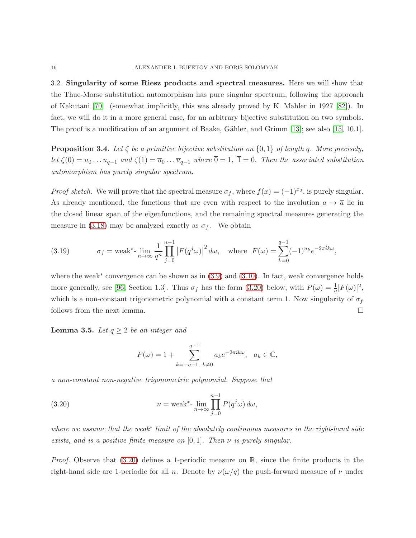3.2. Singularity of some Riesz products and spectral measures. Here we will show that the Thue-Morse substitution automorphism has pure singular spectrum, following the approach of Kakutani [\[70\]](#page-35-15) (somewhat implicitly, this was already proved by K. Mahler in 1927 [\[82\]](#page-36-19)). In fact, we will do it in a more general case, for an arbitrary bijective substitution on two symbols. The proof is a modification of an argument of Baake, Gähler, and Grimm  $[13]$ ; see also  $[15, 10.1]$ .

<span id="page-15-1"></span>**Proposition 3.4.** Let  $\zeta$  be a primitive bijective substitution on  $\{0,1\}$  of length q. More precisely, let  $\zeta(0) = u_0 \dots u_{q-1}$  and  $\zeta(1) = \overline{u}_0 \dots \overline{u}_{q-1}$  where  $\overline{0} = 1, \overline{1} = 0$ . Then the associated substitution automorphism has purely singular spectrum.

*Proof sketch.* We will prove that the spectral measure  $\sigma_f$ , where  $f(x) = (-1)^{x_0}$ , is purely singular. As already mentioned, the functions that are even with respect to the involution  $a \mapsto \overline{a}$  lie in the closed linear span of the eigenfunctions, and the remaining spectral measures generating the measure in [\(3.18\)](#page-14-1) may be analyzed exactly as  $\sigma_f$ . We obtain

(3.19) 
$$
\sigma_f = \text{weak}^* - \lim_{n \to \infty} \frac{1}{q^n} \prod_{j=0}^{n-1} \left| F(q^j \omega) \right|^2 d\omega, \text{ where } F(\omega) = \sum_{k=0}^{q-1} (-1)^{u_k} e^{-2\pi i k \omega},
$$

where the weak<sup>∗</sup> convergence can be shown as in  $(3.9)$  and  $(3.10)$ . In fact, weak convergence holds more generally, see [\[96,](#page-36-12) Section 1.3]. Thus  $\sigma_f$  has the form [\(3.20\)](#page-15-0) below, with  $P(\omega) = \frac{1}{q}|F(\omega)|^2$ , which is a non-constant trigonometric polynomial with a constant term 1. Now singularity of  $\sigma_f$ follows from the next lemma.

**Lemma 3.5.** Let  $q \geq 2$  be an integer and

<span id="page-15-0"></span>
$$
P(\omega) = 1 + \sum_{k=-q+1, \ k \neq 0}^{q-1} a_k e^{-2\pi i k \omega}, \ a_k \in \mathbb{C},
$$

a non-constant non-negative trigonometric polynomial. Suppose that

(3.20) 
$$
\nu = \text{weak}^* \text{-} \lim_{n \to \infty} \prod_{j=0}^{n-1} P(q^j \omega) d\omega,
$$

where we assume that the weak∗ limit of the absolutely continuous measures in the right-hand side exists, and is a positive finite measure on  $[0, 1]$ . Then  $\nu$  is purely singular.

*Proof.* Observe that  $(3.20)$  defines a 1-periodic measure on  $\mathbb{R}$ , since the finite products in the right-hand side are 1-periodic for all n. Denote by  $\nu(\omega/q)$  the push-forward measure of  $\nu$  under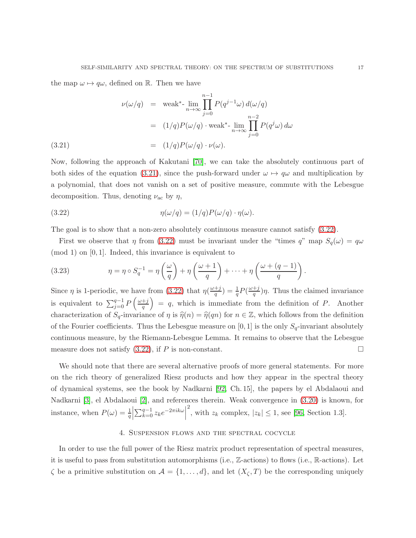the map  $\omega \mapsto q\omega$ , defined on R. Then we have

<span id="page-16-0"></span>
$$
\nu(\omega/q) = \text{weak*-}\lim_{n \to \infty} \prod_{j=0}^{n-1} P(q^{j-1}\omega) d(\omega/q)
$$

$$
= (1/q)P(\omega/q) \cdot \text{weak*-}\lim_{n \to \infty} \prod_{j=0}^{n-2} P(q^j\omega) d\omega
$$
(3.21)
$$
= (1/q)P(\omega/q) \cdot \nu(\omega).
$$

Now, following the approach of Kakutani [\[70\]](#page-35-15), we can take the absolutely continuous part of both sides of the equation [\(3.21\)](#page-16-0), since the push-forward under  $\omega \mapsto q\omega$  and multiplication by a polynomial, that does not vanish on a set of positive measure, commute with the Lebesgue decomposition. Thus, denoting  $\nu_{\rm ac}$  by  $\eta$ ,

<span id="page-16-1"></span>(3.22) 
$$
\eta(\omega/q) = (1/q)P(\omega/q) \cdot \eta(\omega).
$$

The goal is to show that a non-zero absolutely continuous measure cannot satisfy [\(3.22\)](#page-16-1).

First we observe that  $\eta$  from [\(3.22\)](#page-16-1) must be invariant under the "times  $q$ " map  $S_q(\omega) = q\omega$  $\pmod{1}$  on  $[0, 1]$ . Indeed, this invariance is equivalent to

(3.23) 
$$
\eta = \eta \circ S_q^{-1} = \eta \left(\frac{\omega}{q}\right) + \eta \left(\frac{\omega+1}{q}\right) + \dots + \eta \left(\frac{\omega+(q-1)}{q}\right).
$$

Since  $\eta$  is 1-periodic, we have from [\(3.22\)](#page-16-1) that  $\eta(\frac{\omega+j}{\sigma})$  $(\frac{+j}{q}) = \frac{1}{q}P(\frac{\omega + j}{q})$  $(\frac{+j}{q})\eta$ . Thus the claimed invariance is equivalent to  $\sum_{j=0}^{q-1} P\left(\frac{\omega+j}{q}\right)$ q  $= q$ , which is immediate from the definition of P. Another characterization of  $S_q$ -invariance of  $\eta$  is  $\hat{\eta}(n) = \hat{\eta}(qn)$  for  $n \in \mathbb{Z}$ , which follows from the definition of the Fourier coefficients. Thus the Lebesgue measure on [0, 1] is the only  $S_q$ -invariant absolutely continuous measure, by the Riemann-Lebesgue Lemma. It remains to observe that the Lebesgue measure does not satisfy  $(3.22)$ , if P is non-constant.

We should note that there are several alternative proofs of more general statements. For more on the rich theory of generalized Riesz products and how they appear in the spectral theory of dynamical systems, see the book by Nadkarni [\[92,](#page-36-15) Ch. 15], the papers by el Abdalaoui and Nadkarni [\[3\]](#page-32-6), el Abdalaoui [\[2\]](#page-32-7), and references therein. Weak convergence in [\(3.20\)](#page-15-0) is known, for instance, when  $P(\omega) = \frac{1}{q}$   $\sum_{k=0}^{q-1} z_k e^{-2\pi i k \omega}$ <sup>2</sup>, with  $z_k$  complex,  $|z_k| \le 1$ , see [\[96,](#page-36-12) Section 1.3].

## 4. Suspension flows and the spectral cocycle

In order to use the full power of the Riesz matrix product representation of spectral measures, it is useful to pass from substitution automorphisms (i.e., Z-actions) to flows (i.e., R-actions). Let  $\zeta$  be a primitive substitution on  $\mathcal{A} = \{1, \ldots, d\}$ , and let  $(X_{\zeta}, T)$  be the corresponding uniquely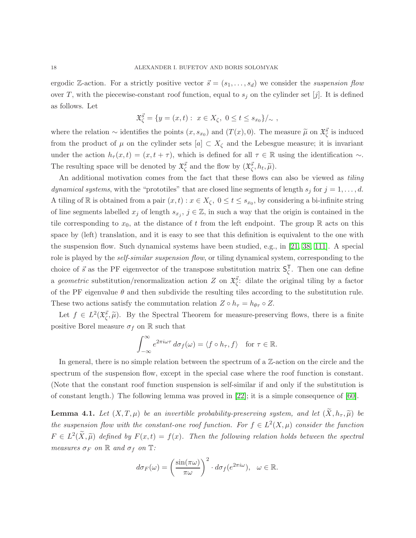ergodic Z-action. For a strictly positive vector  $\vec{s} = (s_1, \ldots, s_d)$  we consider the suspension flow over T, with the piecewise-constant roof function, equal to  $s_j$  on the cylinder set [j]. It is defined as follows. Let

$$
\mathfrak{X}_{\zeta}^{\vec{s}} = \{ y = (x, t) : x \in X_{\zeta}, 0 \le t \le s_{x_0} \} /_{\sim},
$$

where the relation  $\sim$  identifies the points  $(x, s_{x_0})$  and  $(T(x), 0)$ . The measure  $\tilde{\mu}$  on  $\tilde{\mathcal{X}}_{\zeta}^{\vec{s}}$  is induced from the product of  $\mu$  on the cylinder sets  $[a] \subset X_{\zeta}$  and the Lebesgue measure; it is invariant under the action  $h_{\tau}(x,t) = (x, t + \tau)$ , which is defined for all  $\tau \in \mathbb{R}$  using the identification ~. The resulting space will be denoted by  $\mathfrak{X}_{\zeta}^{\vec{s}}$  and the flow by  $(\mathfrak{X}_{\zeta}^{\vec{s}}, h_t, \widetilde{\mu})$ .

An additional motivation comes from the fact that these flows can also be viewed as tiling dynamical systems, with the "prototiles" that are closed line segments of length  $s_j$  for  $j = 1, \ldots, d$ . A tiling of R is obtained from a pair  $(x,t): x \in X_\zeta$ ,  $0 \le t \le s_{x_0}$ , by considering a bi-infinite string of line segments labelled  $x_j$  of length  $s_{x_j}$ ,  $j \in \mathbb{Z}$ , in such a way that the origin is contained in the tile corresponding to  $x_0$ , at the distance of t from the left endpoint. The group  $\mathbb R$  acts on this space by (left) translation, and it is easy to see that this definition is equivalent to the one with the suspension flow. Such dynamical systems have been studied, e.g., in [\[21,](#page-33-12) [38,](#page-34-13) [111\]](#page-37-8). A special role is played by the *self-similar suspension flow*, or tiling dynamical system, corresponding to the choice of  $\vec{s}$  as the PF eigenvector of the transpose substitution matrix  $S_{\zeta}^{T}$  $\frac{1}{\zeta}$ . Then one can define a geometric substitution/renormalization action Z on  $\mathfrak{X}^{\vec{s}}_{\zeta}$ : dilate the original tiling by a factor of the PF eigenvalue  $\theta$  and then subdivide the resulting tiles according to the substitution rule. These two actions satisfy the commutation relation  $Z \circ h_{\tau} = h_{\theta_{\tau}} \circ Z$ .

Let  $f \in L^2(\mathfrak{X}_{\zeta}^{\vec{s}}, \widetilde{\mu})$ . By the Spectral Theorem for measure-preserving flows, there is a finite positive Borel measure  $\sigma_f$  on R such that

$$
\int_{-\infty}^{\infty} e^{2\pi i \omega \tau} d\sigma_f(\omega) = \langle f \circ h_{\tau}, f \rangle \quad \text{for } \tau \in \mathbb{R}.
$$

In general, there is no simple relation between the spectrum of a  $\mathbb{Z}$ -action on the circle and the spectrum of the suspension flow, except in the special case where the roof function is constant. (Note that the constant roof function suspension is self-similar if and only if the substitution is of constant length.) The following lemma was proved in [\[22\]](#page-33-13); it is a simple consequence of [\[60\]](#page-35-16).

<span id="page-17-0"></span>**Lemma 4.1.** Let  $(X, T, \mu)$  be an invertible probability-preserving system, and let  $(X, h_{\tau}, \tilde{\mu})$  be the suspension flow with the constant-one roof function. For  $f \in L^2(X, \mu)$  consider the function  $F \in L^2(\widetilde{X}, \widetilde{\mu})$  defined by  $F(x,t) = f(x)$ . Then the following relation holds between the spectral measures  $\sigma_F$  on  $\mathbb R$  and  $\sigma_f$  on  $\mathbb T$ :

$$
d\sigma_F(\omega) = \left(\frac{\sin(\pi\omega)}{\pi\omega}\right)^2 \cdot d\sigma_f(e^{2\pi i\omega}), \ \omega \in \mathbb{R}.
$$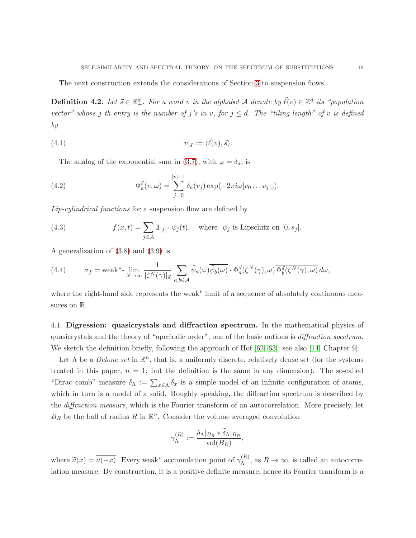The next construction extends the considerations of Section [3](#page-10-0) to suspension flows.

**Definition 4.2.** Let  $\vec{s} \in \mathbb{R}^d_+$ . For a word v in the alphabet A denote by  $\vec{\ell}(v) \in \mathbb{Z}^d$  its "population vector" whose j-th entry is the number of j's in v, for  $j \leq d$ . The "tiling length" of v is defined by

(4.1) 
$$
|v|_{\vec{s}} := \langle \vec{\ell}(v), \vec{s} \rangle.
$$

<span id="page-18-2"></span>The analog of the exponential sum in [\(3.7\)](#page-12-4), with  $\varphi = \delta_a$ , is

(4.2) 
$$
\Phi_a^{\vec{s}}(v,\omega) = \sum_{j=0}^{|v|-1} \delta_a(v_j) \exp(-2\pi i \omega |v_0 \dots v_j|_{\vec{s}}).
$$

Lip-cylindrical functions for a suspension flow are defined by

(4.3) 
$$
f(x,t) = \sum_{j \in \mathcal{A}} 1\!\!1_{[j]} \cdot \psi_j(t), \text{ where } \psi_j \text{ is Lipschitz on } [0, s_j].
$$

A generalization of [\(3.8\)](#page-12-2) and [\(3.9\)](#page-12-3) is

<span id="page-18-1"></span>(4.4) 
$$
\sigma_f = \text{weak}^* - \lim_{N \to \infty} \frac{1}{|\zeta^N(\gamma)|_{\vec{s}}} \sum_{a,b \in \mathcal{A}} \widehat{\psi}_a(\omega) \overline{\widehat{\psi}_b(\omega)} \cdot \Phi_a^{\vec{s}}(\zeta^N(\gamma), \omega) \overline{\Phi_b^{\vec{s}}(\zeta^N(\gamma), \omega)} d\omega,
$$

where the right-hand side represents the weak∗ limit of a sequence of absolutely continuous measures on  $\mathbb{R}$ .

<span id="page-18-0"></span>4.1. Digression: quasicrystals and diffraction spectrum. In the mathematical physics of quasicrystals and the theory of "aperiodic order", one of the basic notions is diffraction spectrum. We sketch the definition briefly, following the approach of Hof  $[62, 63]$  $[62, 63]$ ; see also [\[14,](#page-33-6) Chapter 9].

Let  $\Lambda$  be a *Delone set* in  $\mathbb{R}^n$ , that is, a uniformly discrete, relatively dense set (for the systems treated in this paper,  $n = 1$ , but the definition is the same in any dimension). The so-called "Dirac comb" measure  $\delta_{\Lambda} := \sum_{x \in \Lambda} \delta_x$  is a simple model of an infinite configuration of atoms, which in turn is a model of a solid. Roughly speaking, the diffraction spectrum is described by the *diffraction measure*, which is the Fourier transform of an autocorrelation. More precisely, let  $B_R$  be the ball of radius R in  $\mathbb{R}^n$ . Consider the volume averaged convolution

$$
\gamma_{\Lambda}^{(R)} := \frac{\delta_{\Lambda}|_{B_R} * \delta_{\Lambda}|_{B_R}}{\text{vol}(B_R)},
$$

where  $\widetilde{\nu}(x) = \overline{\nu(-x)}$ . Every weak<sup>\*</sup> accumulation point of  $\gamma_{\Lambda}^{(R)}$  $\Lambda^{(h)}$ , as  $R \to \infty$ , is called an autocorrelation measure. By construction, it is a positive definite measure, hence its Fourier transform is a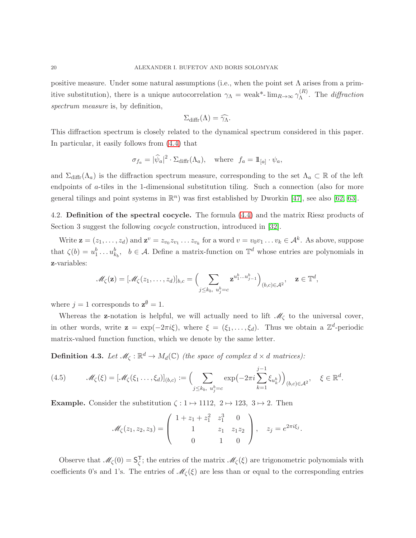positive measure. Under some natural assumptions (i.e., when the point set  $\Lambda$  arises from a primitive substitution), there is a unique autocorrelation  $\gamma_{\Lambda} = \text{weak}^*$ -  $\lim_{R \to \infty} \gamma_{\Lambda}^{(R)}$  $\Lambda^{(1)}$ . The diffraction spectrum measure is, by definition,

$$
\Sigma_{\text{diffr}}(\Lambda) = \widehat{\gamma_{\Lambda}}.
$$

This diffraction spectrum is closely related to the dynamical spectrum considered in this paper. In particular, it easily follows from [\(4.4\)](#page-18-1) that

$$
\sigma_{f_a} = |\widehat{\psi}_a|^2 \cdot \Sigma_{\text{diffr}}(\Lambda_a), \quad \text{where} \ \ f_a = \mathbb{1}_{[a]} \cdot \psi_a,
$$

and  $\Sigma_{\text{diffr}}(\Lambda_a)$  is the diffraction spectrum measure, corresponding to the set  $\Lambda_a \subset \mathbb{R}$  of the left endpoints of a-tiles in the 1-dimensional substitution tiling. Such a connection (also for more general tilings and point systems in  $\mathbb{R}^n$ ) was first established by Dworkin [\[47\]](#page-34-7), see also [\[62,](#page-35-5) [63\]](#page-35-6).

4.2. Definition of the spectral cocycle. The formula [\(4.4\)](#page-18-1) and the matrix Riesz products of Section 3 suggest the following *cocycle* construction, introduced in [\[32\]](#page-33-5).

Write  $\mathbf{z} = (z_1, \ldots, z_d)$  and  $\mathbf{z}^v = z_{v_0} z_{v_1} \ldots z_{v_k}$  for a word  $v = v_0 v_1 \ldots v_k \in \mathcal{A}^k$ . As above, suppose that  $\zeta(b) = u_1^b \dots u_{k_b}^b$ ,  $b \in \mathcal{A}$ . Define a matrix-function on  $\mathbb{T}^d$  whose entries are polynomials in z-variables:

$$
\mathscr{M}_{\zeta}(\mathbf{z}) = [\mathscr{M}_{\zeta}(z_1,\ldots,z_d)]_{b,c} = \Big(\sum_{j\leq k_b,\ u_j^b=c} \mathbf{z}^{u_1^b\ldots u_{j-1}^b}\Big)_{(b,c)\in\mathcal{A}^2}, \quad \mathbf{z}\in\mathbb{T}^d,
$$

where  $j = 1$  corresponds to  $z^{\emptyset} = 1$ .

Whereas the **z**-notation is helpful, we will actually need to lift  $\mathcal{M}_{\zeta}$  to the universal cover, in other words, write  $\mathbf{z} = \exp(-2\pi i \xi)$ , where  $\xi = (\xi_1, \dots, \xi_d)$ . Thus we obtain a  $\mathbb{Z}^d$ -periodic matrix-valued function function, which we denote by the same letter.

**Definition 4.3.** Let  $\mathcal{M}_{\zeta}: \mathbb{R}^d \to M_d(\mathbb{C})$  (the space of complex  $d \times d$  matrices):

(4.5) 
$$
\mathscr{M}_{\zeta}(\xi) = [\mathscr{M}_{\zeta}(\xi_1 \dots, \xi_d)]_{(b,c)} := \Big(\sum_{j \leq k_b, u_j^b = c} \exp\left(-2\pi i \sum_{k=1}^{j-1} \xi_{u_k^b}\right)\Big)_{(b,c) \in \mathcal{A}^2}, \quad \xi \in \mathbb{R}^d.
$$

**Example.** Consider the substitution  $\zeta : 1 \mapsto 1112, 2 \mapsto 123, 3 \mapsto 2$ . Then

$$
\mathcal{M}_{\zeta}(z_1, z_2, z_3) = \begin{pmatrix} 1 + z_1 + z_1^2 & z_1^3 & 0 \\ 1 & z_1 & z_1 z_2 \\ 0 & 1 & 0 \end{pmatrix}, \quad z_j = e^{2\pi i \xi_j}.
$$

Observe that  $\mathcal{M}_{\zeta}(0) = S_{\zeta}^{T}$  $\overline{\zeta}$ ; the entries of the matrix  $\mathcal{M}_{\zeta}(\xi)$  are trigonometric polynomials with coefficients 0's and 1's. The entries of  $\mathcal{M}_{\zeta}(\xi)$  are less than or equal to the corresponding entries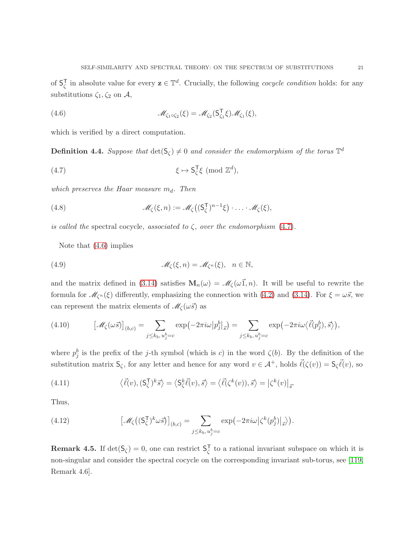of  $S^{\mathsf{T}}_{\zeta}$  $\overline{\zeta}$  in absolute value for every  $\mathbf{z} \in \mathbb{T}^d$ . Crucially, the following *cocycle condition* holds: for any substitutions  $\zeta_1, \zeta_2$  on  $\mathcal{A}$ ,

<span id="page-20-1"></span>(4.6) 
$$
\mathscr{M}_{\zeta_1 \circ \zeta_2}(\xi) = \mathscr{M}_{\zeta_2}(\mathsf{S}_{\zeta_1}^{\mathsf{T}} \xi) \mathscr{M}_{\zeta_1}(\xi),
$$

which is verified by a direct computation.

**Definition 4.4.** Suppose that  $det(S_\zeta) \neq 0$  and consider the endomorphism of the torus  $\mathbb{T}^d$ 

<span id="page-20-0"></span>(4.7) 
$$
\xi \mapsto S_{\zeta}^{\mathsf{T}} \xi \pmod{\mathbb{Z}^d}
$$
,

which preserves the Haar measure  $m_d$ . Then

<span id="page-20-2"></span>(4.8) 
$$
\mathcal{M}_{\zeta}(\xi,n) := \mathcal{M}_{\zeta}\big((S_{\zeta}^{T})^{n-1}\xi\big)\cdot\ldots\cdot\mathcal{M}_{\zeta}(\xi),
$$

is called the spectral cocycle, associated to  $\zeta$ , over the endomorphism [\(4.7\)](#page-20-0).

Note that [\(4.6\)](#page-20-1) implies

(4.9) 
$$
\mathscr{M}_{\zeta}(\xi,n)=\mathscr{M}_{\zeta^n}(\xi), \quad n \in \mathbb{N},
$$

and the matrix defined in [\(3.14\)](#page-13-4) satisfies  $\mathbf{M}_n(\omega) = \mathcal{M}_\zeta(\omega_1,n)$ . It will be useful to rewrite the formula for  $\mathcal{M}_{\zeta^n}(\xi)$  differently, emphasizing the connection with [\(4.2\)](#page-18-2) and [\(3.14\)](#page-13-4). For  $\xi = \omega \vec{s}$ , we can represent the matrix elements of  $\mathscr{M}_{\zeta}(\omega\vec{s})$  as

(4.10) 
$$
\left[\mathcal{M}_{\zeta}(\omega \vec{s})\right]_{(b,c)} = \sum_{j \le k_b, u_j^b = c} \exp\left(-2\pi i \omega \left|p_j^b\right|_{\vec{s}}\right) = \sum_{j \le k_b, u_j^b = c} \exp\left(-2\pi i \omega \left\langle \vec{\ell}(p_j^b), \vec{s}\right\rangle\right),
$$

where  $p_j^b$  is the prefix of the j-th symbol (which is c) in the word  $\zeta(b)$ . By the definition of the substitution matrix  $S_{\zeta}$ , for any letter and hence for any word  $v \in A^+$ , holds  $\vec{\ell}(\zeta(v)) = S_{\zeta} \vec{\ell}(v)$ , so

<span id="page-20-4"></span>(4.11) 
$$
\langle \vec{\ell}(v), (\mathsf{S}_{\zeta}^{\mathsf{T}})^{k} \vec{s} \rangle = \langle \mathsf{S}_{\zeta}^{k} \vec{\ell}(v), \vec{s} \rangle = \langle \vec{\ell}(\zeta^{k}(v)), \vec{s} \rangle = |\zeta^{k}(v)|_{\vec{s}}.
$$

Thus,

<span id="page-20-3"></span>(4.12) 
$$
\left[\mathcal{M}_{\zeta}\left((\mathsf{S}_{\zeta}^{\mathsf{T}})^{k}\omega\vec{s}\right)\right]_{(b,c)} = \sum_{j\leq k_b,\,u_j^b=c} \exp\left(-2\pi i\omega\left|\zeta^k(p_j^b)\right|_{\vec{s}}\right).
$$

**Remark 4.5.** If  $det(S_\zeta) = 0$ , one can restrict  $S_\zeta^T$  $\frac{1}{\zeta}$  to a rational invariant subspace on which it is non-singular and consider the spectral cocycle on the corresponding invariant sub-torus, see [\[119,](#page-37-13) Remark 4.6].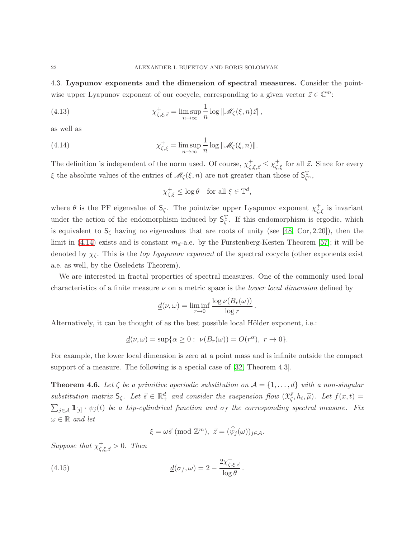4.3. Lyapunov exponents and the dimension of spectral measures. Consider the pointwise upper Lyapunov exponent of our cocycle, corresponding to a given vector  $\vec{z} \in \mathbb{C}^m$ :

(4.13) 
$$
\chi_{\zeta,\xi,\vec{z}}^{+} = \limsup_{n \to \infty} \frac{1}{n} \log ||\mathscr{M}_{\zeta}(\xi,n)\vec{z}||,
$$

as well as

(4.14) 
$$
\chi_{\zeta,\xi}^+ = \limsup_{n \to \infty} \frac{1}{n} \log \| \mathcal{M}_{\zeta}(\xi,n) \|.
$$

The definition is independent of the norm used. Of course,  $\chi^+_{\zeta,\xi,\vec{z}} \leq \chi^+_{\zeta,\xi}$  for all  $\vec{z}$ . Since for every  $\xi$  the absolute values of the entries of  $\mathcal{M}_{\zeta}(\xi, n)$  are not greater than those of  $S_{\zeta^n}^T$ ,

<span id="page-21-0"></span>
$$
\chi_{\zeta,\xi}^+ \le \log \theta \quad \text{for all } \xi \in \mathbb{T}^d,
$$

where  $\theta$  is the PF eigenvalue of  $S_{\zeta}$ . The pointwise upper Lyapunov exponent  $\chi_{\zeta,\xi}^{+}$  is invariant under the action of the endomorphism induced by  $S_{\zeta}^{T}$ . If this endomorphism is ergodic, which is equivalent to  $S_{\zeta}$  having no eigenvalues that are roots of unity (see [\[48,](#page-34-8) Cor, 2.20]), then the limit in [\(4.14\)](#page-21-0) exists and is constant  $m_d$ -a.e. by the Furstenberg-Kesten Theorem [\[57\]](#page-35-17); it will be denoted by  $\chi_{\zeta}$ . This is the top Lyapunov exponent of the spectral cocycle (other exponents exist a.e. as well, by the Oseledets Theorem).

We are interested in fractal properties of spectral measures. One of the commonly used local characteristics of a finite measure  $\nu$  on a metric space is the *lower local dimension* defined by

$$
\underline{d}(\nu,\omega) = \liminf_{r \to 0} \frac{\log \nu(B_r(\omega))}{\log r}.
$$

Alternatively, it can be thought of as the best possible local Hölder exponent, i.e.:

$$
\underline{d}(\nu,\omega)=\sup\{\alpha\geq 0:\ \nu(B_r(\omega))=O(r^\alpha),\ r\to 0\}.
$$

For example, the lower local dimension is zero at a point mass and is infinite outside the compact support of a measure. The following is a special case of [\[32,](#page-33-5) Theorem 4.3].

<span id="page-21-1"></span>**Theorem 4.6.** Let  $\zeta$  be a primitive aperiodic substitution on  $\mathcal{A} = \{1, \ldots, d\}$  with a non-singular substitution matrix  $S_{\zeta}$ . Let  $\vec{s} \in \mathbb{R}^d_+$  and consider the suspension flow  $(\mathfrak{X}^{\vec{s}}_{\zeta}, h_t, \widetilde{\mu})$ . Let  $f(x,t) =$  $\sum_{j\in\mathcal{A}} 1\!\!1_{[j]} \cdot \psi_j(t)$  be a Lip-cylindrical function and  $\sigma_f$  the corresponding spectral measure. Fix  $\omega \in \mathbb{R}$  and let

<span id="page-21-2"></span>
$$
\xi = \omega \vec{s} \; (\text{mod } \mathbb{Z}^m), \; \vec{z} = (\hat{\psi}_j(\omega))_{j \in \mathcal{A}}.
$$

Suppose that  $\chi^+_{\zeta,\xi,\vec{z}} > 0$ . Then

(4.15) 
$$
\underline{d}(\sigma_f, \omega) = 2 - \frac{2\chi_{\zeta,\xi,\vec{z}}^+}{\log \theta}.
$$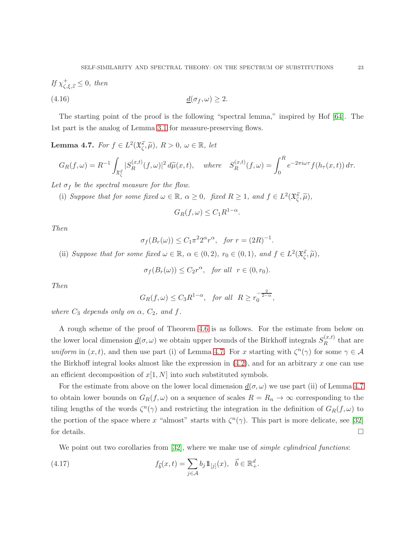If 
$$
\chi^+_{\zeta,\xi,\vec{z}} \leq 0
$$
, then  
(4.16)  $\underline{d}(\sigma_f,\omega) \geq 2$ .

The starting point of the proof is the following "spectral lemma," inspired by Hof [\[64\]](#page-35-13). The 1st part is the analog of Lemma [3.1](#page-11-0) for measure-preserving flows.

<span id="page-22-0"></span>**Lemma 4.7.** For  $f \in L^2(\mathfrak{X}_{\zeta}^{\vec{s}}, \widetilde{\mu}), R > 0, \omega \in \mathbb{R}, let$ 

$$
G_R(f,\omega) = R^{-1} \int_{\mathfrak{X}_{\zeta}^{\overline{s}}} |S_R^{(x,t)}(f,\omega)|^2 d\widetilde{\mu}(x,t), \quad \text{where} \quad S_R^{(x,t)}(f,\omega) = \int_0^R e^{-2\pi i \omega \tau} f(h_\tau(x,t)) d\tau.
$$

Let  $\sigma_f$  be the spectral measure for the flow.

(i) Suppose that for some fixed  $\omega \in \mathbb{R}$ ,  $\alpha \geq 0$ , fixed  $R \geq 1$ , and  $f \in L^2(\mathfrak{X}_{\zeta}^{\vec{s}}, \widetilde{\mu})$ ,

$$
G_R(f,\omega) \le C_1 R^{1-\alpha}
$$

.

Then

$$
\sigma_f(B_r(\omega)) \le C_1 \pi^2 2^{\alpha} r^{\alpha}, \quad \text{for } r = (2R)^{-1}.
$$

(ii) Suppose that for some fixed  $\omega \in \mathbb{R}$ ,  $\alpha \in (0, 2)$ ,  $r_0 \in (0, 1)$ , and  $f \in L^2(\mathfrak{X}_{\zeta}^{\vec{s}}, \widetilde{\mu})$ ,

$$
\sigma_f(B_r(\omega)) \leq C_2 r^{\alpha}
$$
, for all  $r \in (0, r_0)$ .

Then

$$
G_R(f,\omega) \le C_3 R^{1-\alpha}, \text{ for all } R \ge r_0^{-\frac{2}{2-\alpha}},
$$

where  $C_3$  depends only on  $\alpha$ ,  $C_2$ , and f.

A rough scheme of the proof of Theorem [4.6](#page-21-1) is as follows. For the estimate from below on the lower local dimension  $\underline{d}(\sigma,\omega)$  we obtain upper bounds of the Birkhoff integrals  $S_R^{(x,t)}$  $R^{(x,\iota)}$  that are uniform in  $(x, t)$ , and then use part (i) of Lemma [4.7.](#page-22-0) For x starting with  $\zeta^{n}(\gamma)$  for some  $\gamma \in \mathcal{A}$ the Birkhoff integral looks almost like the expression in  $(4.2)$ , and for an arbitrary x one can use an efficient decomposition of  $x[1, N]$  into such substituted symbols.

For the estimate from above on the lower local dimension  $\underline{d}(\sigma,\omega)$  we use part (ii) of Lemma [4.7](#page-22-0) to obtain lower bounds on  $G_R(f, \omega)$  on a sequence of scales  $R = R_n \rightarrow \infty$  corresponding to the tiling lengths of the words  $\zeta^{n}(\gamma)$  and restricting the integration in the definition of  $G_{R}(f,\omega)$  to the portion of the space where x "almost" starts with  $\zeta^{n}(\gamma)$ . This part is more delicate, see [\[32\]](#page-33-5) for details.  $\Box$ 

<span id="page-22-1"></span>We point out two corollaries from [\[32\]](#page-33-5), where we make use of *simple cylindrical functions*:

(4.17) 
$$
f_{\vec{b}}(x,t) = \sum_{j \in \mathcal{A}} b_j \mathbb{1}_{[j]}(x), \quad \vec{b} \in \mathbb{R}^d_+.
$$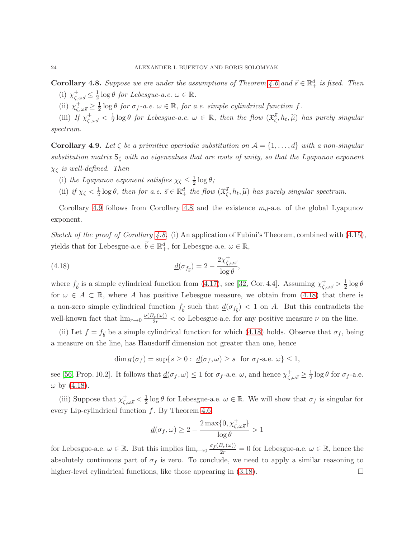<span id="page-23-1"></span>**Corollary 4.8.** Suppose we are under the assumptions of Theorem [4.6](#page-21-1) and  $\vec{s} \in \mathbb{R}^d_+$  is fixed. Then (i)  $\chi^+_{\zeta,\omega\vec{s}} \leq \frac{1}{2} \log \theta$  for Lebesgue-a.e.  $\omega \in \mathbb{R}$ .

(ii)  $\chi^+_{\zeta,\omega\vec{s}} \geq \frac{1}{2}$  $\frac{1}{2} \log \theta$  for  $\sigma_f$ -a.e.  $\omega \in \mathbb{R}$ , for a.e. simple cylindrical function f.

(iii) If  $\chi^+_{\zeta,\omega\vec{s}} < \frac{1}{2}$  $\frac{1}{2}$ log  $\theta$  for Lebesgue-a.e.  $\omega \in \mathbb{R}$ , then the flow  $(\mathfrak{X}^{\vec{s}}_{\zeta}, h_t, \widetilde{\mu})$  has purely singular spectrum.

<span id="page-23-0"></span>**Corollary 4.9.** Let  $\zeta$  be a primitive aperiodic substitution on  $\mathcal{A} = \{1, \ldots, d\}$  with a non-singular substitution matrix  $S_{\zeta}$  with no eigenvalues that are roots of unity, so that the Lyapunov exponent  $\chi_{\zeta}$  is well-defined. Then

- (i) the Lyapunov exponent satisfies  $\chi_{\zeta} \leq \frac{1}{2}$  $rac{1}{2} \log \theta$ ;
- (ii) if  $\chi_{\zeta} < \frac{1}{2} \log \theta$ , then for a.e.  $\vec{s} \in \mathbb{R}^d_+$  the flow  $(\mathfrak{X}^{\vec{s}}_{\zeta}, h_t, \tilde{\mu})$  has purely singular spectrum.

Corollary [4.9](#page-23-0) follows from Corollary [4.8](#page-23-1) and the existence  $m_d$ -a.e. of the global Lyapunov exponent.

Sketch of the proof of Corollary [4.8.](#page-23-1) (i) An application of Fubini's Theorem, combined with  $(4.15)$ , yields that for Lebesgue-a.e.  $\vec{b} \in \mathbb{R}^d_+$ , for Lebesgue-a.e.  $\omega \in \mathbb{R}$ ,

(4.18) 
$$
\underline{d}(\sigma_{f_{\vec{b}}}) = 2 - \frac{2\chi_{\zeta,\omega\vec{s}}^+}{\log \theta},
$$

where  $f_{\vec{b}}$  is a simple cylindrical function from [\(4.17\)](#page-22-1), see [\[32,](#page-33-5) Cor. 4.4]. Assuming  $\chi^+_{\zeta,\omega\vec{s}} > \frac{1}{2} \log \theta$ for  $\omega \in A \subset \mathbb{R}$ , where A has positive Lebesgue measure, we obtain from [\(4.18\)](#page-23-2) that there is a non-zero simple cylindrical function  $f_{\vec{b}}$  such that  $\underline{d}(\sigma_{f_{\vec{b}}}) < 1$  on A. But this contradicts the well-known fact that  $\lim_{r\to 0} \frac{\nu(B_r(\omega))}{2r} < \infty$  Lebesgue-a.e. for any positive measure  $\nu$  on the line.

(ii) Let  $f = f_{\vec{b}}$  be a simple cylindrical function for which [\(4.18\)](#page-23-2) holds. Observe that  $\sigma_f$ , being a measure on the line, has Hausdorff dimension not greater than one, hence

<span id="page-23-2"></span>
$$
\dim_H(\sigma_f) = \sup\{s \ge 0 : \underline{d}(\sigma_f, \omega) \ge s \text{ for } \sigma_f\text{-a.e. } \omega\} \le 1,
$$

see [\[56,](#page-34-14) Prop. 10.2]. It follows that  $\underline{d}(\sigma_f, \omega) \leq 1$  for  $\sigma_f$ -a.e.  $\omega$ , and hence  $\chi_{\zeta, \omega \vec{s}}^+ \geq \frac{1}{2}$  $\frac{1}{2} \log \theta$  for  $\sigma_f$ -a.e.  $\omega$  by [\(4.18\)](#page-23-2).

(iii) Suppose that  $\chi^+_{\zeta,\omega\vec{s}} < \frac{1}{2}$  $\frac{1}{2}$  log  $\theta$  for Lebesgue-a.e.  $\omega \in \mathbb{R}$ . We will show that  $\sigma_f$  is singular for every Lip-cylindrical function  $f$ . By Theorem [4.6,](#page-21-1)

$$
\underline{d}(\sigma_f,\omega) \geq 2 - \frac{2 \max\{0, \chi_{\zeta,\omega\vec{s}}^+\}}{\log \theta} > 1
$$

for Lebesgue-a.e.  $\omega \in \mathbb{R}$ . But this implies  $\lim_{r\to 0} \frac{\sigma_f(B_r(\omega))}{2r} = 0$  for Lebesgue-a.e.  $\omega \in \mathbb{R}$ , hence the absolutely continuous part of  $\sigma_f$  is zero. To conclude, we need to apply a similar reasoning to higher-level cylindrical functions, like those appearing in  $(3.18)$ .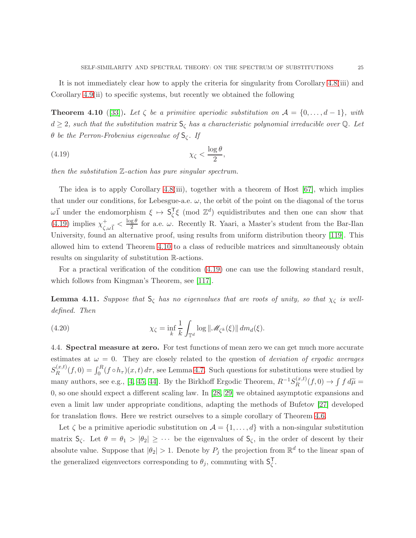It is not immediately clear how to apply the criteria for singularity from Corollary [4.8\(](#page-23-1)iii) and Corollary [4.9\(](#page-23-0)ii) to specific systems, but recently we obtained the following

<span id="page-24-1"></span>**Theorem 4.10** ([\[33\]](#page-33-14)). Let  $\zeta$  be a primitive aperiodic substitution on  $\mathcal{A} = \{0, \ldots, d-1\}$ , with  $d \geq 2$ , such that the substitution matrix  $S_{\zeta}$  has a characteristic polynomial irreducible over Q. Let θ be the Perron-Frobenius eigenvalue of  $S_{\zeta}$ . If

<span id="page-24-0"></span>
$$
\chi_{\zeta} < \frac{\log \theta}{2},
$$

then the substitution  $\mathbb{Z}\text{-action}$  has pure singular spectrum.

The idea is to apply Corollary [4.8\(](#page-23-1)iii), together with a theorem of Host [\[67\]](#page-35-18), which implies that under our conditions, for Lebesgue-a.e.  $\omega$ , the orbit of the point on the diagonal of the torus  $\omega \vec{1}$  under the endomorphism  $\xi \mapsto S_{\zeta}^{T}$  $\overline{\zeta}$ ξ (mod  $\mathbb{Z}^d$ ) equidistributes and then one can show that  $(4.19)$  implies  $\chi^+$  $_{\zeta,\omega\vec{1}}^+ < \frac{\log\theta}{2}$  $\frac{g}{2}^{\nu}$  for a.e.  $\omega$ . Recently R. Yaari, a Master's student from the Bar-Ilan University, found an alternative proof, using results from uniform distribution theory [\[119\]](#page-37-13). This allowed him to extend Theorem [4.10](#page-24-1) to a class of reducible matrices and simultaneously obtain results on singularity of substitution R-actions.

For a practical verification of the condition [\(4.19\)](#page-24-0) one can use the following standard result, which follows from Kingman's Theorem, see [\[117\]](#page-37-14).

**Lemma 4.11.** Suppose that  $S_{\zeta}$  has no eigenvalues that are roots of unity, so that  $\chi_{\zeta}$  is welldefined. Then

(4.20) 
$$
\chi_{\zeta} = \inf_{k} \frac{1}{k} \int_{\mathbb{T}^d} \log ||\mathscr{M}_{\zeta^k}(\xi)|| \, dm_d(\xi).
$$

4.4. Spectral measure at zero. For test functions of mean zero we can get much more accurate estimates at  $\omega = 0$ . They are closely related to the question of *deviation of ergodic averages*  $S_R^{(x,t)}$  $\int_R^{(x,t)}(f,0) = \int_0^R (f \circ h_\tau)(x,t) d\tau$ , see Lemma [4.7.](#page-22-0) Such questions for substitutions were studied by many authors, see e.g., [\[4,](#page-32-8) [45,](#page-34-15) [44\]](#page-34-16). By the Birkhoff Ergodic Theorem,  $R^{-1}S_R^{(x,t)}$  $\int_R^{(x,t)}(f,0) \to \int f d\widetilde{\mu} =$ 0, so one should expect a different scaling law. In [\[28,](#page-33-15) [29\]](#page-33-3) we obtained asymptotic expansions and even a limit law under appropriate conditions, adapting the methods of Bufetov [\[27\]](#page-33-2) developed for translation flows. Here we restrict ourselves to a simple corollary of Theorem [4.6.](#page-21-1)

Let  $\zeta$  be a primitive aperiodic substitution on  $\mathcal{A} = \{1, \ldots, d\}$  with a non-singular substitution matrix  $S_{\zeta}$ . Let  $\theta = \theta_1 > |\theta_2| \geq \cdots$  be the eigenvalues of  $S_{\zeta}$ , in the order of descent by their absolute value. Suppose that  $|\theta_2| > 1$ . Denote by  $P_j$  the projection from  $\mathbb{R}^d$  to the linear span of the generalized eigenvectors corresponding to  $\theta_j$ , commuting with  $\mathsf{S}_{\zeta}^{\mathsf{T}}$ ζ .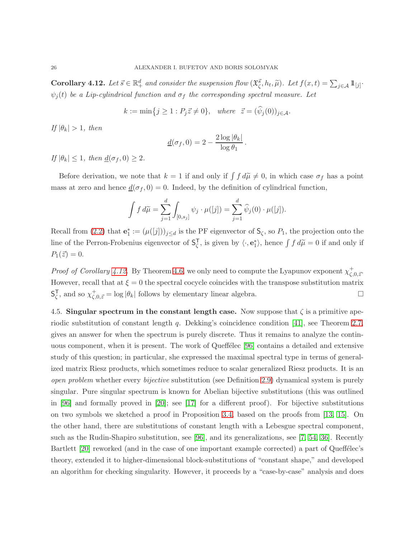<span id="page-25-0"></span>**Corollary 4.12.** Let  $\vec{s} \in \mathbb{R}^d_+$  and consider the suspension flow  $(\mathfrak{X}^{\vec{s}}_{\zeta}, h_t, \widetilde{\mu})$ . Let  $f(x,t) = \sum_{j \in \mathcal{A}} 1 \mathbb{1}_{[j]}$ .  $\psi_j(t)$  be a Lip-cylindrical function and  $\sigma_f$  the corresponding spectral measure. Let

 $k := \min\{j \geq 1 : P_j \vec{z} \neq 0\}, \text{ where } \vec{z} = (\widehat{\psi}_j(0))_{j \in \mathcal{A}}.$ 

If  $|\theta_k| > 1$ , then

$$
\underline{d}(\sigma_f, 0) = 2 - \frac{2 \log |\theta_k|}{\log \theta_1}.
$$

If  $|\theta_k| \leq 1$ , then  $\underline{d}(\sigma_f, 0) \geq 2$ .

Before derivation, we note that  $k = 1$  if and only if  $\int f d\tilde{\mu} \neq 0$ , in which case  $\sigma_f$  has a point mass at zero and hence  $\underline{d}(\sigma_f, 0) = 0$ . Indeed, by the definition of cylindrical function,

$$
\int f \, d\widetilde{\mu} = \sum_{j=1}^d \int_{[0,s_j]} \psi_j \cdot \mu([j]) = \sum_{j=1}^d \widehat{\psi}_j(0) \cdot \mu([j]).
$$

Recall from [\(2.2\)](#page-7-1) that  $\mathbf{e}_1^* := (\mu([j]))_{j \leq d}$  is the PF eigenvector of  $\mathsf{S}_{\zeta}$ , so  $P_1$ , the projection onto the line of the Perron-Frobenius eigenvector of  $S^{\mathsf{T}}_{\zeta}$  $\overline{\zeta}$ , is given by  $\langle \cdot, \mathbf{e}_1^* \rangle$ , hence  $\int f d\widetilde{\mu} = 0$  if and only if  $P_1(\vec{z}) = 0.$ 

*Proof of Corollary [4.12.](#page-25-0)* By Theorem [4.6,](#page-21-1) we only need to compute the Lyapunov exponent  $\chi^+_{\zeta,0,\vec{z}}$ . However, recall that at  $\xi = 0$  the spectral cocycle coincides with the transpose substitution matrix S T  $\overline{\zeta}$ , and so  $\chi^+_{\zeta,0,\vec{z}} = \log |\theta_k|$  follows by elementary linear algebra.

4.5. Singular spectrum in the constant length case. Now suppose that  $\zeta$  is a primitive aperiodic substitution of constant length q. Dekking's coincidence condition [\[41\]](#page-34-1), see Theorem [2.7,](#page-9-0) gives an answer for when the spectrum is purely discrete. Thus it remains to analyze the contin-uous component, when it is present. The work of Queffelec [\[96\]](#page-36-12) contains a detailed and extensive study of this question; in particular, she expressed the maximal spectral type in terms of generalized matrix Riesz products, which sometimes reduce to scalar generalized Riesz products. It is an open problem whether every bijective substitution (see Definition [2.9\)](#page-9-1) dynamical system is purely singular. Pure singular spectrum is known for Abelian bijective substitutions (this was outlined in  $[96]$  and formally proved in  $[20]$ ; see  $[17]$  for a different proof). For bijective substitutions on two symbols we sketched a proof in Proposition [3.4,](#page-15-1) based on the proofs from [\[13,](#page-33-10) [15\]](#page-33-11). On the other hand, there are substitutions of constant length with a Lebesgue spectral component, such as the Rudin-Shapiro substitution, see [\[96\]](#page-36-12), and its generalizations, see [\[7,](#page-32-9) [54,](#page-34-17) [36\]](#page-34-18). Recently Bartlett [\[20\]](#page-33-16) reworked (and in the case of one important example corrected) a part of Queffélec's theory, extended it to higher-dimensional block-substitutions of "constant shape," and developed an algorithm for checking singularity. However, it proceeds by a "case-by-case" analysis and does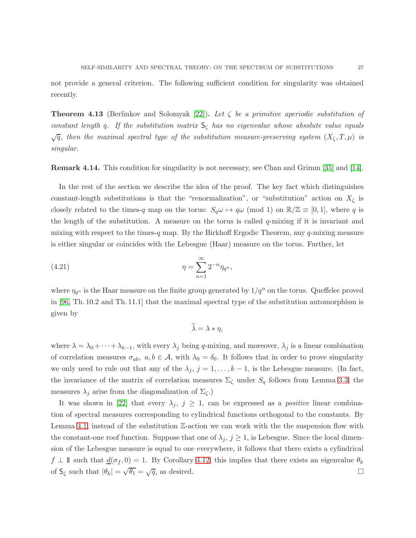not provide a general criterion. The following sufficient condition for singularity was obtained recently.

**Theorem 4.13** (Berlinkov and Solomyak [\[22\]](#page-33-13)). Let  $\zeta$  be a primitive aperiodic substitution of constant length q. If the substitution matrix  $S_{\zeta}$  has no eigenvalue whose absolute value equals  $\sqrt{q}$ , then the maximal spectral type of the substitution measure-preserving system  $(X_{\zeta},T,\mu)$  is singular.

Remark 4.14. This condition for singularity is not necessary, see Chan and Grimm [\[35\]](#page-34-19) and [\[14\]](#page-33-6).

In the rest of the section we describe the idea of the proof. The key fact which distinguishes constant-length substitutions is that the "renormalization", or "substitution" action on  $X_{\zeta}$  is closely related to the times-q map on the torus:  $S_q \omega \mapsto q \omega \pmod{1}$  on  $\mathbb{R}/\mathbb{Z} \equiv [0, 1]$ , where q is the length of the substitution. A measure on the torus is called  $q$ -mixing if it is invariant and mixing with respect to the times-q map. By the Birkhoff Ergodic Theorem, any  $q$ -mixing measure is either singular or coincides with the Lebesgue (Haar) measure on the torus. Further, let

(4.21) 
$$
\eta = \sum_{n=1}^{\infty} 2^{-n} \eta_{q^n},
$$

where  $\eta_{q^n}$  is the Haar measure on the finite group generated by  $1/q^n$  on the torus. Queffelec proved in [\[96,](#page-36-12) Th. 10.2 and Th. 11.1] that the maximal spectral type of the substitution automorphism is given by

$$
\widetilde{\lambda} = \lambda * \eta,
$$

where  $\lambda = \lambda_0 + \cdots + \lambda_{k-1}$ , with every  $\lambda_j$  being q-mixing, and moreover,  $\lambda_j$  is a linear combination of correlation measures  $\sigma_{ab}$ ,  $a, b \in \mathcal{A}$ , with  $\lambda_0 = \delta_0$ . It follows that in order to prove singularity we only need to rule out that any of the  $\lambda_j$ ,  $j = 1, \ldots, k - 1$ , is the Lebesgue measure. (In fact, the invariance of the matrix of correlation measures  $\Sigma_{\zeta}$  under  $S_q$  follows from Lemma [3.3;](#page-14-2) the measures  $\lambda_j$  arise from the diagonalization of  $\Sigma_{\zeta}$ .)

It was shown in [\[22\]](#page-33-13) that every  $\lambda_j$ ,  $j \geq 1$ , can be expressed as a *positive* linear combination of spectral measures corresponding to cylindrical functions orthogonal to the constants. By Lemma [4.1,](#page-17-0) instead of the substitution  $\mathbb{Z}$ -action we can work with the the suspension flow with the constant-one roof function. Suppose that one of  $\lambda_j$ ,  $j \geq 1$ , is Lebesgue. Since the local dimension of the Lebesgue measure is equal to one everywhere, it follows that there exists a cylindrical  $f \perp \mathbb{I}$  such that  $\underline{d}(\sigma_f, 0) = 1$ . By Corollary [4.12,](#page-25-0) this implies that there exists an eigenvalue  $\theta_k$ of  $S_{\zeta}$  such that  $|\theta_k| = \sqrt{\theta_1} = \sqrt{q}$ , as desired.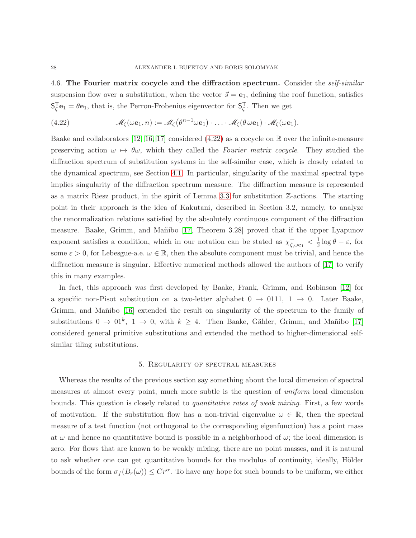4.6. The Fourier matrix cocycle and the diffraction spectrum. Consider the self-similar suspension flow over a substitution, when the vector  $\vec{s} = \mathbf{e}_1$ , defining the roof function, satisfies S T  $\mathbf{C}_{\zeta}^{\mathsf{T}}\mathbf{e}_1 = \theta \mathbf{e}_1$ , that is, the Perron-Frobenius eigenvector for  $\mathsf{S}_{\zeta}^{\mathsf{T}}$  $\frac{1}{\zeta}$ . Then we get

<span id="page-27-0"></span>(4.22) 
$$
\mathscr{M}_{\zeta}(\omega \mathbf{e}_1, n) := \mathscr{M}_{\zeta}(\theta^{n-1} \omega \mathbf{e}_1) \cdot \ldots \cdot \mathscr{M}_{\zeta}(\theta \omega \mathbf{e}_1) \cdot \mathscr{M}_{\zeta}(\omega \mathbf{e}_1).
$$

Baake and collaborators [\[12,](#page-33-18) [16,](#page-33-19) [17\]](#page-33-17) considered [\(4.22\)](#page-27-0) as a cocycle on R over the infinite-measure preserving action  $\omega \mapsto \theta \omega$ , which they called the Fourier matrix cocycle. They studied the diffraction spectrum of substitution systems in the self-similar case, which is closely related to the dynamical spectrum, see Section [4.1.](#page-18-0) In particular, singularity of the maximal spectral type implies singularity of the diffraction spectrum measure. The diffraction measure is represented as a matrix Riesz product, in the spirit of Lemma [3.3](#page-14-2) for substitution Z-actions. The starting point in their approach is the idea of Kakutani, described in Section 3.2, namely, to analyze the renormalization relations satisfied by the absolutely continuous component of the diffraction measure. Baake, Grimm, and Mañibo [\[17,](#page-33-17) Theorem 3.28] proved that if the upper Lyapunov exponent satisfies a condition, which in our notation can be stated as  $\chi^+_{\zeta,\omega_{\mathbf{e}_1}} < \frac{1}{2}$  $\frac{1}{2} \log \theta - \varepsilon$ , for some  $\varepsilon > 0$ , for Lebesgue-a.e.  $\omega \in \mathbb{R}$ , then the absolute component must be trivial, and hence the diffraction measure is singular. Effective numerical methods allowed the authors of [\[17\]](#page-33-17) to verify this in many examples.

In fact, this approach was first developed by Baake, Frank, Grimm, and Robinson [\[12\]](#page-33-18) for a specific non-Pisot substitution on a two-letter alphabet  $0 \rightarrow 0111$ ,  $1 \rightarrow 0$ . Later Baake, Grimm, and Mañibo [\[16\]](#page-33-19) extended the result on singularity of the spectrum to the family of substitutions  $0 \to 01^k$ ,  $1 \to 0$ , with  $k \geq 4$ . Then Baake, Gähler, Grimm, and Mañibo [\[17\]](#page-33-17) considered general primitive substitutions and extended the method to higher-dimensional selfsimilar tiling substitutions.

#### 5. Regularity of spectral measures

Whereas the results of the previous section say something about the local dimension of spectral measures at almost every point, much more subtle is the question of uniform local dimension bounds. This question is closely related to quantitative rates of weak mixing. First, a few words of motivation. If the substitution flow has a non-trivial eigenvalue  $\omega \in \mathbb{R}$ , then the spectral measure of a test function (not orthogonal to the corresponding eigenfunction) has a point mass at  $\omega$  and hence no quantitative bound is possible in a neighborhood of  $\omega$ ; the local dimension is zero. For flows that are known to be weakly mixing, there are no point masses, and it is natural to ask whether one can get quantitative bounds for the modulus of continuity, ideally, Hölder bounds of the form  $\sigma_f(B_r(\omega)) \leq Cr^{\alpha}$ . To have any hope for such bounds to be uniform, we either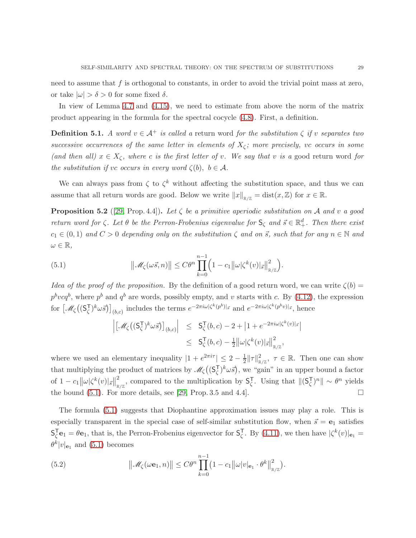need to assume that f is orthogonal to constants, in order to avoid the trivial point mass at zero, or take  $|\omega| > \delta > 0$  for some fixed  $\delta$ .

In view of Lemma [4.7](#page-22-0) and [\(4.15\)](#page-21-2), we need to estimate from above the norm of the matrix product appearing in the formula for the spectral cocycle [\(4.8\)](#page-20-2). First, a definition.

**Definition 5.1.** A word  $v \in A^+$  is called a return word for the substitution  $\zeta$  if v separates two successive occurrences of the same letter in elements of  $X_{\zeta}$ ; more precisely, vc occurs in some (and then all)  $x \in X_\zeta$ , where c is the first letter of v. We say that v is a good return word for the substitution if vc occurs in every word  $\zeta(b)$ ,  $b \in \mathcal{A}$ .

We can always pass from  $\zeta$  to  $\zeta^k$  without affecting the substitution space, and thus we can assume that all return words are good. Below we write  $||x||_{\mathbb{R}/\mathbb{Z}} = \text{dist}(x,\mathbb{Z})$  for  $x \in \mathbb{R}$ .

<span id="page-28-2"></span>**Proposition 5.2** ([\[29,](#page-33-3) Prop. 4.4]). Let  $\zeta$  be a primitive aperiodic substitution on A and v a good return word for  $\zeta$ . Let  $\theta$  be the Perron-Frobenius eigenvalue for  $S_{\zeta}$  and  $\vec{s} \in \mathbb{R}^d_+$ . Then there exist  $c_1 \in (0,1)$  and  $C > 0$  depending only on the substitution  $\zeta$  and on  $\vec{s}$ , such that for any  $n \in \mathbb{N}$  and  $\omega \in \mathbb{R},$ 

(5.1) 
$$
\|\mathscr{M}_{\zeta}(\omega \vec{s}, n)\| \leq C \theta^n \prod_{k=0}^{n-1} \left(1 - c_1 \|\omega\| \zeta^k(v)|_{\vec{s}}\|_{\mathbb{R}/\mathbb{Z}}^2\right).
$$

Idea of the proof of the proposition. By the definition of a good return word, we can write  $\zeta(b)$  =  $p^{b}vcq^{b}$ , where  $p^{b}$  and  $q^{b}$  are words, possibly empty, and v starts with c. By [\(4.12\)](#page-20-3), the expression for  $\left[\mathcal{M}_{\zeta}\right](S_{\zeta}^{T})$  $\left[\zeta^{(k)}\right]_{(b,c)}$  includes the terms  $e^{-2\pi i\omega|\zeta^k(p^b)|\vec{s}}$  and  $e^{-2\pi i\omega|\zeta^k(p^b v)|\vec{s}}$ , hence

<span id="page-28-0"></span>
$$
\begin{array}{rcl} \left| \left[ \mathcal{M}_{\zeta} \big( ( \mathsf{S}_{\zeta}^{\mathsf{T}} \big)^k \omega \vec{s} \big) \right]_{(b,c)} \right| & \leq & \mathsf{S}_{\zeta}^{\mathsf{T}}(b,c) -2 + \left| 1 + e^{-2\pi i \omega |\zeta^k(v)|_{\vec{s}}} \right| \\ & \leq & \mathsf{S}_{\zeta}^{\mathsf{T}}(b,c) - \frac{1}{2} \left\| \omega |\zeta^k(v)|_{\vec{s}} \right\|_{\mathbb{R}/\mathbb{Z}}^2, \end{array}
$$

where we used an elementary inequality  $|1 + e^{2\pi i \tau}| \leq 2 - \frac{1}{2}$  $\frac{1}{2} ||\tau||_{\mathbb{R}/\mathbb{Z}}^2$ ,  $\tau \in \mathbb{R}$ . Then one can show that multiplying the product of matrices by  $\mathscr{M}_{\zeta}$  ((S<sub> $\zeta$ </sub>)  $(\zeta)^k \omega \vec{s}$ , we "gain" in an upper bound a factor of  $1 - c_1 ||\omega |\zeta^k(v)|_{\vec{s}}||_{\mathbb{R}}^2$  $\frac{2}{\mathbb{R}/\mathbb{Z}}$ , compared to the multiplication by  $\mathsf{S}_{\zeta}^{\mathsf{T}}$  $\overline{\zeta}$ . Using that  $\|(\mathsf{S}_{\zeta}^{\mathsf{T}})$  $(\zeta)^n$ || ~  $\theta^n$  yields the bound  $(5.1)$ . For more details, see [\[29,](#page-33-3) Prop. 3.5 and 4.4].

The formula [\(5.1\)](#page-28-0) suggests that Diophantine approximation issues may play a role. This is especially transparent in the special case of self-similar substitution flow, when  $\vec{s} = e_1$  satisfies S T  ${}_{\zeta}^{\mathsf{T}}\mathbf{e}_1 = \theta \mathbf{e}_1$ , that is, the Perron-Frobenius eigenvector for  $\mathsf{S}_{\zeta}^{\mathsf{T}}$ <sup>T</sup>, By [\(4.11\)](#page-20-4), we then have  $|\zeta^k(v)|_{\mathbf{e}_1} =$  $\theta^k |v|_{\mathbf{e}_1}$  and  $(5.1)$  becomes

<span id="page-28-1"></span>(5.2) 
$$
\|\mathscr{M}_{\zeta}(\omega \mathbf{e}_1, n)\| \leq C \theta^n \prod_{k=0}^{n-1} (1 - c_1 \|\omega| v|_{\mathbf{e}_1} \cdot \theta^k \|_{\mathbb{R}/\mathbb{Z}}^2).
$$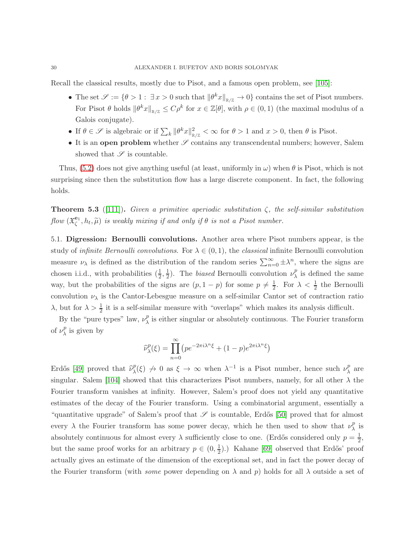Recall the classical results, mostly due to Pisot, and a famous open problem, see [\[105\]](#page-37-15):

- The set  $\mathscr{S} := \{ \theta > 1 : \exists x > 0 \text{ such that } ||\theta^k x||_{\mathbb{R}/\mathbb{Z}} \to 0 \}$  contains the set of Pisot numbers. For Pisot  $\theta$  holds  $\|\theta^k x\|_{\mathbb{R}/\mathbb{Z}} \leq C\rho^k$  for  $x \in \mathbb{Z}[\theta]$ , with  $\rho \in (0,1)$  (the maximal modulus of a Galois conjugate).
- If  $\theta \in \mathscr{S}$  is algebraic or if  $\sum_{k} \|\theta^{k}x\|_{\mathbb{R}/\mathbb{Z}}^{2} < \infty$  for  $\theta > 1$  and  $x > 0$ , then  $\theta$  is Pisot.
- It is an open problem whether  $\mathscr S$  contains any transcendental numbers; however, Salem showed that  $\mathscr S$  is countable.

Thus, [\(5.2\)](#page-28-1) does not give anything useful (at least, uniformly in  $\omega$ ) when  $\theta$  is Pisot, which is not surprising since then the substitution flow has a large discrete component. In fact, the following holds.

**Theorem 5.3** ([\[111\]](#page-37-8)). Given a primitive aperiodic substitution  $\zeta$ , the self-similar substitution flow  $(\mathfrak{X}^{\mathbf{e}_1}_{\zeta}, h_t, \widetilde{\mu})$  is weakly mixing if and only if  $\theta$  is not a Pisot number.

5.1. Digression: Bernoulli convolutions. Another area where Pisot numbers appear, is the study of *infinite Bernoulli convolutions*. For  $\lambda \in (0,1)$ , the *classical* infinite Bernoulli convolution measure  $\nu_{\lambda}$  is defined as the distribution of the random series  $\sum_{n=0}^{\infty} \pm \lambda^n$ , where the signs are chosen i.i.d., with probabilities  $(\frac{1}{2}, \frac{1}{2})$  $\frac{1}{2}$ ). The *biased* Bernoulli convolution  $\nu_{\lambda}^{p}$  $\chi^p$  is defined the same way, but the probabilities of the signs are  $(p, 1-p)$  for some  $p \neq \frac{1}{2}$  $\frac{1}{2}$ . For  $\lambda < \frac{1}{2}$  the Bernoulli convolution  $\nu_{\lambda}$  is the Cantor-Lebesgue measure on a self-similar Cantor set of contraction ratio λ, but for  $\lambda > \frac{1}{2}$  it is a self-similar measure with "overlaps" which makes its analysis difficult.

By the "pure types" law,  $\nu_{\lambda}^{p}$  $\chi^p$  is either singular or absolutely continuous. The Fourier transform of  $\nu_{\lambda}^{p}$  $\chi^p$  is given by

$$
\widehat{\nu}_{\lambda}^{p}(\xi) = \prod_{n=0}^{\infty} \left( p e^{-2\pi i \lambda^{n} \xi} + (1-p) e^{2\pi i \lambda^{n} \xi} \right)
$$

Erdős [\[49\]](#page-34-20) proved that  $\widehat{\nu}_{\lambda}^{p}$  $\chi^p(\xi) \nrightarrow 0$  as  $\xi \rightarrow \infty$  when  $\lambda^{-1}$  is a Pisot number, hence such  $\nu^p_\lambda$  $\chi^p$  are singular. Salem [\[104\]](#page-37-16) showed that this characterizes Pisot numbers, namely, for all other  $\lambda$  the Fourier transform vanishes at infinity. However, Salem's proof does not yield any quantitative estimates of the decay of the Fourier transform. Using a combinatorial argument, essentially a "quantitative upgrade" of Salem's proof that  $\mathscr S$  is countable, Erdős [\[50\]](#page-34-21) proved that for almost every  $\lambda$  the Fourier transform has some power decay, which he then used to show that  $\nu_\lambda^p$  $\frac{p}{\lambda}$  is absolutely continuous for almost every  $\lambda$  sufficiently close to one. (Erdős considered only  $p = \frac{1}{2}$ )  $\frac{1}{2}$ , but the same proof works for an arbitrary  $p \in (0, \frac{1}{2})$  $(\frac{1}{2})$ .) Kahane [\[69\]](#page-35-19) observed that Erdős' proof actually gives an estimate of the dimension of the exceptional set, and in fact the power decay of the Fourier transform (with *some* power depending on  $\lambda$  and  $p$ ) holds for all  $\lambda$  outside a set of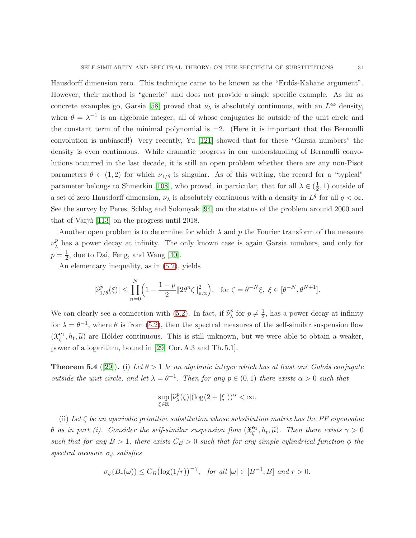Hausdorff dimension zero. This technique came to be known as the "Erdős-Kahane argument". However, their method is "generic" and does not provide a single specific example. As far as concrete examples go, Garsia [\[58\]](#page-35-20) proved that  $\nu_{\lambda}$  is absolutely continuous, with an  $L^{\infty}$  density, when  $\theta = \lambda^{-1}$  is an algebraic integer, all of whose conjugates lie outside of the unit circle and the constant term of the minimal polynomial is  $\pm 2$ . (Here it is important that the Bernoulli convolution is unbiased!) Very recently, Yu [\[121\]](#page-37-17) showed that for these "Garsia numbers" the density is even continuous. While dramatic progress in our understanding of Bernoulli convolutions occurred in the last decade, it is still an open problem whether there are any non-Pisot parameters  $\theta \in (1,2)$  for which  $\nu_{1/\theta}$  is singular. As of this writing, the record for a "typical" parameter belongs to Shmerkin [\[108\]](#page-37-18), who proved, in particular, that for all  $\lambda \in (\frac{1}{2})$  $(\frac{1}{2}, 1)$  outside of a set of zero Hausdorff dimension,  $\nu_{\lambda}$  is absolutely continuous with a density in  $L^{q}$  for all  $q < \infty$ . See the survey by Peres, Schlag and Solomyak [\[94\]](#page-36-20) on the status of the problem around 2000 and that of Varjú  $[113]$  on the progress until 2018.

Another open problem is to determine for which  $\lambda$  and p the Fourier transform of the measure  $\nu_{\lambda}^{p}$  $\lambda$  has a power decay at infinity. The only known case is again Garsia numbers, and only for  $p=\frac{1}{2}$  $\frac{1}{2}$ , due to Dai, Feng, and Wang [\[40\]](#page-34-22).

An elementary inequality, as in [\(5.2\)](#page-28-1), yields

$$
|\widehat{\nu}_{1/\theta}^p(\xi)| \le \prod_{n=0}^N \Big(1 - \frac{1-p}{2} \|2\theta^n \zeta\|_{\mathbb{R}/\mathbb{Z}}^2\Big), \text{ for } \zeta = \theta^{-N} \xi, \ \xi \in [\theta^{-N}, \theta^{N+1}].
$$

We can clearly see a connection with [\(5.2\)](#page-28-1). In fact, if  $\hat{\nu}_{\lambda}^{p}$  $\frac{p}{\lambda}$  for  $p \neq \frac{1}{2}$  $\frac{1}{2}$ , has a power decay at infinity for  $\lambda = \theta^{-1}$ , where  $\theta$  is from [\(5.2\)](#page-28-1), then the spectral measures of the self-similar suspension flow  $(\mathfrak{X}_{\zeta}^{\mathbf{e}_1}, h_t, \widetilde{\mu})$  are Hölder continuous. This is still unknown, but we were able to obtain a weaker, power of a logarithm, bound in [\[29,](#page-33-3) Cor. A.3 and Th. 5.1].

**Theorem 5.4** ([\[29\]](#page-33-3)). (i) Let  $\theta > 1$  be an algebraic integer which has at least one Galois conjugate outside the unit circle, and let  $\lambda = \theta^{-1}$ . Then for any  $p \in (0,1)$  there exists  $\alpha > 0$  such that

$$
\sup_{\xi\in\mathbb{R}}|\widehat{\nu}^p_\lambda(\xi)|(\log(2+|\xi|))^\alpha<\infty.
$$

(ii) Let  $\zeta$  be an aperiodic primitive substitution whose substitution matrix has the PF eigenvalue  $\theta$  as in part (i). Consider the self-similar suspension flow  $(\mathfrak{X}^{\mathbf{e}_1}_{\zeta}, h_t, \widetilde{\mu})$ . Then there exists  $\gamma > 0$ such that for any  $B > 1$ , there exists  $C_B > 0$  such that for any simple cylindrical function  $\phi$  the spectral measure  $\sigma_{\phi}$  satisfies

$$
\sigma_{\phi}(B_r(\omega)) \leq C_B \bigl(\log(1/r)\bigr)^{-\gamma}
$$
, for all  $|\omega| \in [B^{-1}, B]$  and  $r > 0$ .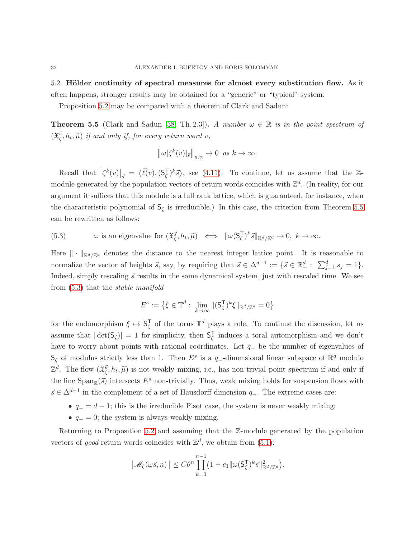5.2. Hölder continuity of spectral measures for almost every substitution flow. As it often happens, stronger results may be obtained for a "generic" or "typical" system.

Proposition [5.2](#page-28-2) may be compared with a theorem of Clark and Sadun:

<span id="page-31-0"></span>**Theorem 5.5** (Clark and Sadun [\[38,](#page-34-13) Th. 2.3]). A number  $\omega \in \mathbb{R}$  is in the point spectrum of  $(\mathfrak{X}_{\zeta}^{\vec{s}}, h_t, \widetilde{\mu})$  if and only if, for every return word v,

$$
\left\|\omega|\zeta^k(v)|_{\vec{s}}\right\|_{\mathbb{R}/\mathbb{Z}}\to 0\ \text{as }k\to\infty.
$$

Recall that  $\left|\zeta^k(v)\right|_{\vec{s}} = \langle \vec{\ell}(v), \mathcal{S}_{\zeta}^{\mathsf{T}}$  $\langle \bar{\zeta} \rangle^k \bar{s} \rangle$ , see [\(4.11\)](#page-20-4). To continue, let us assume that the Zmodule generated by the population vectors of return words coincides with  $\mathbb{Z}^d$ . (In reality, for our argument it suffices that this module is a full rank lattice, which is guaranteed, for instance, when the characteristic polynomial of  $S_{\zeta}$  is irreducible.) In this case, the criterion from Theorem [5.5](#page-31-0) can be rewritten as follows:

<span id="page-31-1"></span>(5.3) 
$$
\omega
$$
 is an eigenvalue for  $(\mathfrak{X}_{\zeta}^{\vec{s}}, h_t, \widetilde{\mu}) \iff ||\omega(\mathsf{S}_{\zeta}^{\top})^k \vec{s}||_{\mathbb{R}^d/\mathbb{Z}^d} \to 0, k \to \infty.$ 

Here  $\|\cdot\|_{\mathbb{R}^d/\mathbb{Z}^d}$  denotes the distance to the nearest integer lattice point. It is reasonable to normalize the vector of heights  $\vec{s}$ , say, by requiring that  $\vec{s} \in \Delta^{d-1} := \{\vec{s} \in \mathbb{R}^d_+ : \sum_{j=1}^d s_j = 1\}.$ Indeed, simply rescaling  $\vec{s}$  results in the same dynamical system, just with rescaled time. We see from [\(5.3\)](#page-31-1) that the stable manifold

$$
E^s := \left\{ \xi \in \mathbb{T}^d : \lim_{k \to \infty} \| (\mathsf{S}_{\zeta}^{\mathsf{T}})^k \xi \|_{\mathbb{R}^d / \mathbb{Z}^d} = 0 \right\}
$$

for the endomorphism  $\xi \mapsto \mathsf{S}_{\zeta}^{\mathsf{T}}$  $\int_{\zeta}^{\mathsf{T}}$  of the torus  $\mathbb{T}^d$  plays a role. To continue the discussion, let us assume that  $|\det(S_{\zeta})| = 1$  for simplicity, then  $S_{\zeta}^{\mathsf{T}}$ ζ induces a toral automorphism and we don't have to worry about points with rational coordinates. Let q<sup>−</sup> be the number of eigenvalues of  $\mathsf{S}_{\zeta}$  of modulus strictly less than 1. Then  $E^s$  is a q<sub>-</sub>-dimensional linear subspace of  $\mathbb{R}^d$  modulo  $\mathbb{Z}^d$ . The flow  $(\mathfrak{X}_{\zeta}^{\vec{s}}, h_t, \widetilde{\mu})$  is not weakly mixing, i.e., has non-trivial point spectrum if and only if the line  $\text{Span}_{\mathbb{R}}(\vec{s})$  intersects  $E^s$  non-trivially. Thus, weak mixing holds for suspension flows with  $\vec{s} \in \Delta^{d-1}$  in the complement of a set of Hausdorff dimension  $q_$ . The extreme cases are:

- $q_-=d-1$ ; this is the irreducible Pisot case, the system is never weakly mixing;
- $q_$  = 0; the system is always weakly mixing.

Returning to Proposition [5.2](#page-28-2) and assuming that the Z-module generated by the population vectors of good return words coincides with  $\mathbb{Z}^d$ , we obtain from  $(5.1)$ :

$$
\left\|\mathscr{M}_{\zeta}(\omega \vec{s}, n)\right\| \leq C \theta^n \prod_{k=0}^{n-1} \left(1 - c_1 \|\omega (S_{\zeta}^{\mathsf{T}})^k \vec{s}\|_{\mathbb{R}^d/\mathbb{Z}^d}^2\right).
$$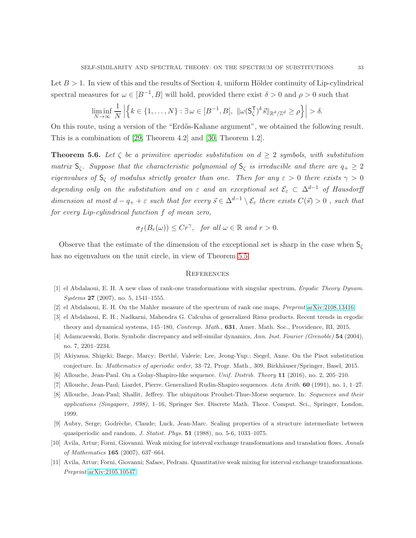Let  $B > 1$ . In view of this and the results of Section 4, uniform Hölder continuity of Lip-cylindrical spectral measures for  $\omega \in [B^{-1}, B]$  will hold, provided there exist  $\delta > 0$  and  $\rho > 0$  such that

$$
\liminf_{N\to\infty}\frac{1}{N}\left|\left\{k\in\{1,\ldots,N\}:\exists\,\omega\in[B^{-1},B],\,\|\omega(\mathsf{S}_{\zeta}^{\mathsf{T}})^{k}\vec{s}\|_{\mathbb{R}^{d}/\mathbb{Z}^{d}}\geq\rho\right\}\right|>\delta.
$$

On this route, using a version of the "Erdős-Kahane argument", we obtained the following result. This is a combination of [\[29,](#page-33-3) Theorem 4.2] and [\[30,](#page-33-4) Theorem 1.2].

**Theorem 5.6.** Let  $\zeta$  be a primitive aperiodic substitution on  $d \geq 2$  symbols, with substitution matrix  $S_{\zeta}$ . Suppose that the characteristic polynomial of  $S_{\zeta}$  is irreducible and there are  $q_{+} \geq 2$ eigenvalues of  $S_\zeta$  of modulus strictly greater than one. Then for any  $\varepsilon > 0$  there exists  $\gamma > 0$ depending only on the substitution and on  $\varepsilon$  and an exceptional set  $\mathcal{E}_{\varepsilon} \subset \Delta^{d-1}$  of Hausdorff dimension at most  $d - q_+ + \varepsilon$  such that for every  $\vec{s} \in \Delta^{d-1} \setminus \mathcal{E}_{\varepsilon}$  there exists  $C(\vec{s}) > 0$ , such that for every Lip-cylindrical function f of mean zero,

$$
\sigma_f(B_r(\omega)) \leq Cr^{\gamma}
$$
, for all  $\omega \in \mathbb{R}$  and  $r > 0$ .

Observe that the estimate of the dimension of the exceptional set is sharp in the case when  $S_{\zeta}$ has no eigenvalues on the unit circle, in view of Theorem [5.5.](#page-31-0)

#### **REFERENCES**

- <span id="page-32-7"></span><span id="page-32-4"></span>[1] el Abdalaoui, E. H. A new class of rank-one transformations with singular spectrum, *Ergodic Theory Dynam. Systems* 27 (2007), no. 5, 1541–1555.
- <span id="page-32-6"></span>[2] el Abdalaoui, E. H. On the Mahler measure of the spectrum of rank one maps, *Preprint* [arXiv:2108.13416.](http://arxiv.org/abs/2108.13416)
- <span id="page-32-8"></span>[3] el Abdalaoui, E. H.; Nadkarni, Mahendra G. Calculus of generalized Riesz products. Recent trends in ergodic theory and dynamical systems, 145–180, *Contemp. Math.*, 631, Amer. Math. Soc., Providence, RI, 2015.
- <span id="page-32-3"></span>[4] Adamczewski, Boris. Symbolic discrepancy and self-similar dynamics, *Ann. Inst. Fourier (Grenoble)* 54 (2004), no. 7, 2201–2234.
- <span id="page-32-1"></span>[5] Akiyama, Shigeki; Barge, Marcy; Berth´e, Valerie; Lee, Jeong-Yup.; Siegel, Anne. On the Pisot substitution conjecture. In: *Mathematics of aperiodic order*, 33–72, Progr. Math., 309, Birkhäuser/Springer, Basel, 2015.
- <span id="page-32-9"></span>[6] Allouche, Jean-Paul. On a Golay-Shapiro-like sequence. *Unif. Distrib. Theory* 11 (2016), no. 2, 205–210.
- <span id="page-32-0"></span>[7] Allouche, Jean-Paul; Liardet, Pierre. Generalized Rudin-Shapiro sequences. *Acta Arith.* 60 (1991), no. 1, 1–27.
- [8] Allouche, Jean-Paul; Shallit, Jeffrey. The ubiquitous Prouhet-Thue-Morse sequence. In: *Sequences and their applications (Singapore, 1998)*, 1–16, Springer Ser. Discrete Math. Theor. Comput. Sci., Springer, London, 1999.
- <span id="page-32-5"></span>[9] Aubry, Serge; Godrèche, Claude; Luck, Jean-Marc. Scaling properties of a structure intermediate between quasiperiodic and random, *J. Statist. Phys.* 51 (1988), no. 5-6, 1033–1075.
- <span id="page-32-2"></span>[10] Avila, Artur; Forni, Giovanni. Weak mixing for interval exchange transformations and translation flows. *Annals of Mathematics* 165 (2007), 637–664.
- [11] Avila, Artur; Forni, Giovanni; Safaee, Pedram. Quantitative weak mixing for interval exchange transformations. *Preprint* [arXiv:2105.10547.](http://arxiv.org/abs/2105.10547)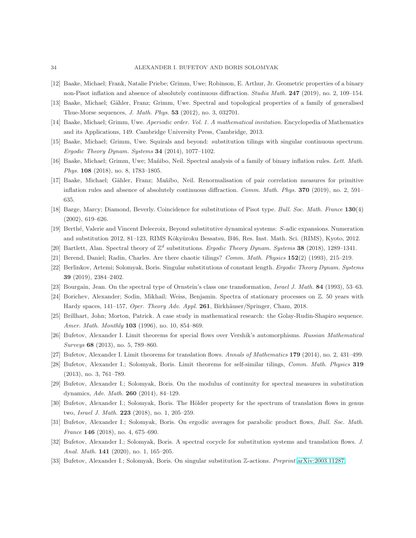- <span id="page-33-18"></span><span id="page-33-10"></span>[12] Baake, Michael; Frank, Natalie Priebe; Grimm, Uwe; Robinson, E. Arthur, Jr. Geometric properties of a binary non-Pisot inflation and absence of absolutely continuous diffraction. *Studia Math.* 247 (2019), no. 2, 109–154.
- <span id="page-33-6"></span>[13] Baake, Michael; Gähler, Franz; Grimm, Uwe. Spectral and topological properties of a family of generalised Thue-Morse sequences, *J. Math. Phys.* 53 (2012), no. 3, 032701.
- <span id="page-33-11"></span>[14] Baake, Michael; Grimm, Uwe. *Aperiodic order. Vol. 1. A mathematical invitation.* Encyclopedia of Mathematics and its Applications, 149. Cambridge University Press, Cambridge, 2013.
- <span id="page-33-19"></span>[15] Baake, Michael; Grimm, Uwe. Squirals and beyond: substitution tilings with singular continuous spectrum. *Ergodic Theory Dynam. Systems* 34 (2014), 1077–1102.
- <span id="page-33-17"></span>[16] Baake, Michael; Grimm, Uwe; Mañibo, Neil. Spectral analysis of a family of binary inflation rules. *Lett. Math. Phys.* 108 (2018), no. 8, 1783–1805.
- [17] Baake, Michael; Gähler, Franz; Mañibo, Neil. Renormalisation of pair correlation measures for primitive inflation rules and absence of absolutely continuous diffraction. *Comm. Math. Phys.* 370 (2019), no. 2, 591– 635.
- <span id="page-33-8"></span>[18] Barge, Marcy; Diamond, Beverly. Coincidence for substitutions of Pisot type. *Bull. Soc. Math. France* 130(4) (2002), 619–626.
- <span id="page-33-16"></span>[19] Berth´e, Valerie and Vincent Delecroix, Beyond substitutive dynamical systems: S-adic expansions. Numeration and substitution 2012, 81–123, RIMS Kôkyûroku Bessatsu, B46, Res. Inst. Math. Sci. (RIMS), Kyoto, 2012.
- <span id="page-33-12"></span>[20] Bartlett, Alan. Spectral theory of  $\mathbb{Z}^d$  substitutions. *Ergodic Theory Dynam. Systems* 38 (2018), 1289–1341.
- <span id="page-33-13"></span>[21] Berend, Daniel; Radin, Charles. Are there chaotic tilings? *Comm. Math. Physics* 152(2) (1993), 215–219.
- <span id="page-33-9"></span>[22] Berlinkov, Artemi; Solomyak, Boris. Singular substitutions of constant length. *Ergodic Theory Dynam. Systems* 39 (2019), 2384–2402.
- <span id="page-33-7"></span>[23] Bourgain, Jean. On the spectral type of Ornstein's class one transformation, *Israel J. Math.* 84 (1993), 53–63.
- <span id="page-33-0"></span>[24] Borichev, Alexander; Sodin, Mikhail; Weiss, Benjamin. Spectra of stationary processes on Z. 50 years with Hardy spaces, 141–157, *Oper. Theory Adv. Appl.* 261, Birkhäuser/Springer, Cham, 2018.
- <span id="page-33-1"></span>[25] Brillhart, John; Morton, Patrick. A case study in mathematical research: the Golay-Rudin-Shapiro sequence. *Amer. Math. Monthly* 103 (1996), no. 10, 854–869.
- <span id="page-33-2"></span>[26] Bufetov, Alexander I. Limit theorems for special flows over Vershik's automorphisms. *Russian Mathematical Surveys* 68 (2013), no. 5, 789–860.
- <span id="page-33-15"></span>[27] Bufetov, Alexander I. Limit theorems for translation flows. *Annals of Mathematics* 179 (2014), no. 2, 431–499.
- <span id="page-33-3"></span>[28] Bufetov, Alexander I.; Solomyak, Boris. Limit theorems for self-similar tilings, *Comm. Math. Physics* 319 (2013), no. 3, 761–789.
- <span id="page-33-4"></span>[29] Bufetov, Alexander I.; Solomyak, Boris. On the modulus of continuity for spectral measures in substitution dynamics, *Adv. Math.* 260 (2014), 84–129.
- [30] Bufetov, Alexander I.; Solomyak, Boris. The Hölder property for the spectrum of translation flows in genus two, *Israel J. Math.* 223 (2018), no. 1, 205–259.
- <span id="page-33-5"></span>[31] Bufetov, Alexander I.; Solomyak, Boris. On ergodic averages for parabolic product flows, *Bull. Soc. Math. France* 146 (2018), no. 4, 675–690.
- <span id="page-33-14"></span>[32] Bufetov, Alexander I.; Solomyak, Boris. A spectral cocycle for substitution systems and translation flows. *J. Anal. Math.* 141 (2020), no. 1, 165–205.
- [33] Bufetov, Alexander I.; Solomyak, Boris. On singular substitution Z-actions. *Preprint* [arXiv:2003.11287.](http://arxiv.org/abs/2003.11287)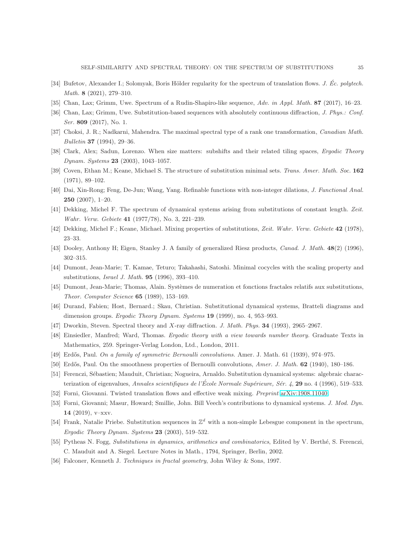- <span id="page-34-19"></span><span id="page-34-5"></span>[34] Bufetov, Alexander I.; Solomyak, Boris Hölder regularity for the spectrum of translation flows. *J. Éc. polytech. Math.* 8 (2021), 279–310.
- <span id="page-34-18"></span>[35] Chan, Lax; Grimm, Uwe. Spectrum of a Rudin-Shapiro-like sequence, *Adv. in Appl. Math.* 87 (2017), 16–23.
- <span id="page-34-11"></span>[36] Chan, Lax; Grimm, Uwe. Substitution-based sequences with absolutely continuous diffraction, *J. Phys.: Conf. Ser.* 809 (2017), No. 1.
- <span id="page-34-13"></span>[37] Choksi, J. R.; Nadkarni, Mahendra. The maximal spectral type of a rank one transformation, *Canadian Math. Bulletin* 37 (1994), 29–36.
- <span id="page-34-0"></span>[38] Clark, Alex; Sadun, Lorenzo. When size matters: subshifts and their related tiling spaces, *Ergodic Theory Dynam. Systems* 23 (2003), 1043–1057.
- <span id="page-34-22"></span>[39] Coven, Ethan M.; Keane, Michael S. The structure of substitution minimal sets. *Trans. Amer. Math. Soc.* 162 (1971), 89–102.
- <span id="page-34-1"></span>[40] Dai, Xin-Rong; Feng, De-Jun; Wang, Yang. Refinable functions with non-integer dilations, *J. Functional Anal.* 250 (2007), 1–20.
- <span id="page-34-2"></span>[41] Dekking, Michel F. The spectrum of dynamical systems arising from substitutions of constant length. *Zeit. Wahr. Verw. Gebiete* 41 (1977/78), No. 3, 221–239.
- <span id="page-34-12"></span>[42] Dekking, Michel F.; Keane, Michael. Mixing properties of substitutions, *Zeit. Wahr. Verw. Gebiete* 42 (1978), 23–33.
- <span id="page-34-16"></span>[43] Dooley, Anthony H; Eigen, Stanley J. A family of generalized Riesz products, *Canad. J. Math.* 48(2) (1996), 302–315.
- <span id="page-34-15"></span>[44] Dumont, Jean-Marie; T. Kamae, Teturo; Takahashi, Satoshi. Minimal cocycles with the scaling property and substitutions, *Israel J. Math.* 95 (1996), 393–410.
- <span id="page-34-4"></span>[45] Dumont, Jean-Marie; Thomas, Alain. Syst`emes de numeration et fonctions fractales relatifs aux substitutions, *Theor. Computer Science* 65 (1989), 153–169.
- <span id="page-34-7"></span>[46] Durand, Fabien; Host, Bernard.; Skau, Christian. Substitutional dynamical systems, Bratteli diagrams and dimension groups. *Ergodic Theory Dynam. Systems* 19 (1999), no. 4, 953–993.
- <span id="page-34-8"></span>[47] Dworkin, Steven. Spectral theory and X-ray diffraction. *J. Math. Phys.* 34 (1993), 2965–2967.
- <span id="page-34-20"></span>[48] Einsiedler, Manfred; Ward, Thomas. *Ergodic theory with a view towards number theory.* Graduate Texts in Mathematics, 259. Springer-Verlag London, Ltd., London, 2011.
- <span id="page-34-21"></span>[49] Erd˝os, Paul. *On a family of symmetric Bernoulli convolutions.* Amer. J. Math. 61 (1939), 974–975.
- <span id="page-34-10"></span>[50] Erdős, Paul. On the smoothness properties of Bernoulli convolutions, *Amer. J. Math.* **62** (1940), 180–186.
- <span id="page-34-6"></span>[51] Ferenczi, Sébastien; Mauduit, Christian; Nogueira, Arnaldo. Substitution dynamical systems: algebraic characterization of eigenvalues, *Annales scientifiques de l'École Normale Supérieure, Sér. 4*, **29** no. 4 (1996), 519–533.
- <span id="page-34-3"></span>[52] Forni, Giovanni. Twisted translation flows and effective weak mixing. *Preprint* [arXiv:1908.11040.](http://arxiv.org/abs/1908.11040)
- <span id="page-34-17"></span>[53] Forni, Giovanni; Masur, Howard; Smillie, John. Bill Veech's contributions to dynamical systems. *J. Mod. Dyn.* 14 (2019), v–xxv.
- <span id="page-34-9"></span>[54] Frank, Natalie Priebe. Substitution sequences in  $\mathbb{Z}^d$  with a non-simple Lebesgue component in the spectrum, *Ergodic Theory Dynam. Systems* 23 (2003), 519–532.
- <span id="page-34-14"></span>[55] Pytheas N. Fogg, *Substitutions in dynamics, arithmetics and combinatorics*, Edited by V. Berthé, S. Ferenczi, C. Mauduit and A. Siegel. Lecture Notes in Math., 1794, Springer, Berlin, 2002.
- [56] Falconer, Kenneth J. *Techniques in fractal geometry*, John Wiley & Sons, 1997.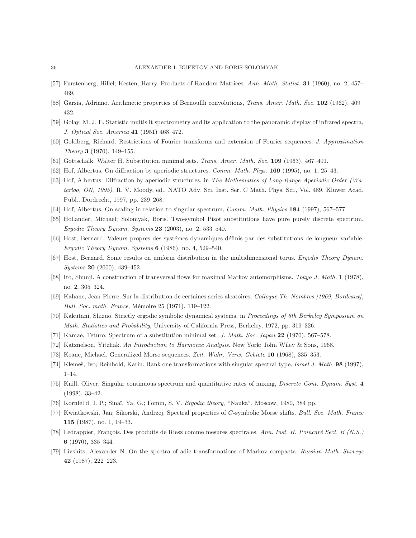- <span id="page-35-20"></span><span id="page-35-17"></span>[57] Furstenberg, Hillel; Kesten, Harry. Products of Random Matrices. *Ann. Math. Statist.* 31 (1960), no. 2, 457– 469.
- <span id="page-35-0"></span>[58] Garsia, Adriano. Arithmetic properties of Bernoullli convolutions, *Trans. Amer. Math. Soc.* 102 (1962), 409– 432.
- <span id="page-35-16"></span>[59] Golay, M. J. E. Statistic multislit spectrometry and its application to the panoramic display of infrared spectra, *J. Optical Soc. America* 41 (1951) 468–472.
- <span id="page-35-1"></span>[60] Goldberg, Richard. Restrictions of Fourier transforms and extension of Fourier sequences. *J. Approximation Theory* 3 (1970), 149–155.
- <span id="page-35-5"></span>[61] Gottschalk, Walter H. Substitution minimal sets. *Trans. Amer. Math. Soc.* 109 (1963), 467–491.
- <span id="page-35-6"></span>[62] Hof, Albertus. On diffraction by aperiodic structures. *Comm. Math. Phys.* 169 (1995), no. 1, 25–43.
- [63] Hof, Albertus. Diffraction by aperiodic structures, in *The Mathematics of Long-Range Aperiodic Order (Waterloo, ON, 1995)*, R. V. Moody, ed., NATO Adv. Sci. Inst. Ser. C Math. Phys. Sci., Vol. 489, Kluwer Acad. Publ., Dordrecht, 1997, pp. 239–268.
- <span id="page-35-13"></span><span id="page-35-10"></span>[64] Hof, Albertus. On scaling in relation to singular spectrum, *Comm. Math. Physics* 184 (1997), 567–577.
- <span id="page-35-8"></span>[65] Hollander, Michael; Solomyak, Boris. Two-symbol Pisot substitutions have pure purely discrete spectrum. *Ergodic Theory Dynam. Systems* 23 (2003), no. 2, 533–540.
- <span id="page-35-18"></span>[66] Host, Bernard. Valeurs propres des systémes dynamiques définis par des substitutions de longueur variable. *Ergodic Theory Dynam. Systems* 6 (1986), no. 4, 529–540.
- <span id="page-35-4"></span>[67] Host, Bernard. Some results on uniform distribution in the multidimensional torus. *Ergodis Theory Dynam. Systems* 20 (2000), 439–452.
- <span id="page-35-19"></span>[68] Ito, Shunji. A construction of transversal flows for maximal Markov automorphisms. *Tokyo J. Math.* 1 (1978), no. 2, 305–324.
- <span id="page-35-15"></span>[69] Kahane, Jean-Pierre. Sur la distribution de certaines series aleatoires, *Colloque Th. Nombres [1969, Bordeaux], Bull. Soc. math. France*, Mémoire 25 (1971), 119–122.
- <span id="page-35-3"></span>[70] Kakutani, Shizuo. Strictly ergodic symbolic dynamical systems, in *Proceedings of 6th Berkeley Symposium on Math. Statistics and Probability*, University of California Press, Berkeley, 1972, pp. 319–326.
- <span id="page-35-14"></span>[71] Kamae, Teturo. Spectrum of a substitution minimal set. *J. Math. Soc. Japan* 22 (1970), 567–578.
- <span id="page-35-2"></span>[72] Katznelson, Yitzhak. *An Introduction to Harmonic Analysis.* New York; John Wiley & Sons, 1968.
- <span id="page-35-12"></span>[73] Keane, Michael. Generalized Morse sequences. *Zeit. Wahr. Verw. Gebiete* 10 (1968), 335–353.
- [74] Klemeš, Ivo; Reinhold, Karin. Rank one transformations with singular spectral type, *Israel J. Math.* **98** (1997), 1–14.
- <span id="page-35-7"></span>[75] Knill, Oliver. Singular continuous spectrum and quantitative rates of mixing, *Discrete Cont. Dynam. Syst.* 4 (1998), 33–42.
- [76] Kornfel'd, I. P.; Sina˘ı, Ya. G.; Fomin, S. V. *Ergodic theory*, "Nauka", Moscow, 1980, 384 pp.
- <span id="page-35-11"></span>[77] Kwiatkowski, Jan; Sikorski, Andrzej. Spectral properties of G-symbolic Morse shifts. *Bull. Soc. Math. France* 115 (1987), no. 1, 19–33.
- <span id="page-35-9"></span>[78] Ledrappier, François. Des produits de Riesz comme mesures spectrales. Ann. Inst. H. Poincaré Sect. B (N.S.) 6 (1970), 335–344.
- [79] Livshits, Alexander N. On the spectra of adic transformations of Markov compacta. *Russian Math. Surveys* 42 (1987), 222–223.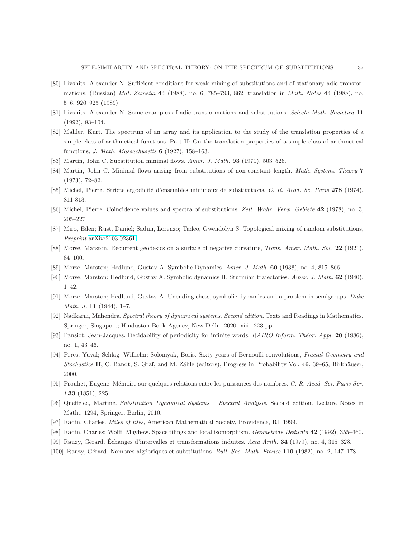- <span id="page-36-16"></span>[80] Livshits, Alexander N. Sufficient conditions for weak mixing of substitutions and of stationary adic transformations. (Russian) *Mat. Zametki* 44 (1988), no. 6, 785–793, 862; translation in *Math. Notes* 44 (1988), no. 5–6, 920–925 (1989)
- <span id="page-36-19"></span><span id="page-36-18"></span>[81] Livshits, Alexander N. Some examples of adic transformations and substitutions. *Selecta Math. Sovietica* 11 (1992), 83–104.
- [82] Mahler, Kurt. The spectrum of an array and its application to the study of the translation properties of a simple class of arithmetical functions. Part II: On the translation properties of a simple class of arithmetical functions, *J. Math. Massachusetts* 6 (1927), 158–163.
- <span id="page-36-6"></span><span id="page-36-5"></span>[83] Martin, John C. Substitution minimal flows. *Amer. J. Math.* 93 (1971), 503–526.
- <span id="page-36-7"></span>[84] Martin, John C. Minimal flows arising from substitutions of non-constant length. *Math. Systems Theory* 7 (1973), 72–82.
- <span id="page-36-8"></span>[85] Michel, Pierre. Stricte ergodicité d'ensembles minimaux de substitutions. *C. R. Acad. Sc. Paris* 278 (1974), 811-813.
- <span id="page-36-14"></span>[86] Michel, Pierre. Coincidence values and spectra of substitutions. *Zeit. Wahr. Verw. Gebiete* 42 (1978), no. 3, 205–227.
- <span id="page-36-1"></span>[87] Miro, Eden; Rust, Daniel; Sadun, Lorenzo; Tadeo, Gwendolyn S. Topological mixing of random substitutions, *Preprint* [arXiv:2103.02361.](http://arxiv.org/abs/2103.02361)
- <span id="page-36-2"></span>[88] Morse, Marston. Recurrent geodesics on a surface of negative curvature, *Trans. Amer. Math. Soc.* 22 (1921), 84–100.
- <span id="page-36-4"></span>[89] Morse, Marston; Hedlund, Gustav A. Symbolic Dynamics. *Amer. J. Math.* 60 (1938), no. 4, 815–866.
- <span id="page-36-3"></span>[90] Morse, Marston; Hedlund, Gustav A. Symbolic dynamics II. Sturmian trajectories. *Amer. J. Math.* 62 (1940), 1–42.
- <span id="page-36-15"></span>[91] Morse, Marston; Hedlund, Gustav A. Unending chess, symbolic dynamics and a problem in semigroups. *Duke Math. J.* 11 (1944), 1–7.
- <span id="page-36-13"></span>[92] Nadkarni, Mahendra. *Spectral theory of dynamical systems. Second edition*. Texts and Readings in Mathematics. Springer, Singapore; Hindustan Book Agency, New Delhi, 2020. xiii+223 pp.
- <span id="page-36-20"></span>[93] Pansiot, Jean-Jacques. Decidability of periodicity for infinite words. *RAIRO Inform. Théor. Appl.* 20 (1986). no. 1, 43–46.
- [94] Peres, Yuval; Schlag, Wilhelm; Solomyak, Boris. Sixty years of Bernoulli convolutions, *Fractal Geometry and Stochastics* II, C. Bandt, S. Graf, and M. Zähle (editors), Progress in Probability Vol. 46, 39–65, Birkhäuser, 2000.
- <span id="page-36-12"></span><span id="page-36-0"></span>[95] Prouhet, Eugene. M´emoire sur quelques relations entre les puissances des nombres. *C. R. Acad. Sci. Paris S´er. I* 33 (1851), 225.
- <span id="page-36-11"></span>[96] Queffelec, Martine. *Substitution Dynamical Systems – Spectral Analysis*. Second edition. Lecture Notes in Math., 1294, Springer, Berlin, 2010.
- <span id="page-36-10"></span>[97] Radin, Charles. *Miles of tiles*, American Mathematical Society, Providence, RI, 1999.
- <span id="page-36-9"></span>[98] Radin, Charles; Wolff, Mayhew. Space tilings and local isomorphism. *Geometriae Dedicata* 42 (1992), 355–360.
- <span id="page-36-17"></span>[99] Rauzy, G´erard. Echanges d'intervalles et transformations induites. ´ *Acta Arith.* 34 (1979), no. 4, 315–328.
- [100] Rauzy, G´erard. Nombres alg´ebriques et substitutions. *Bull. Soc. Math. France* 110 (1982), no. 2, 147–178.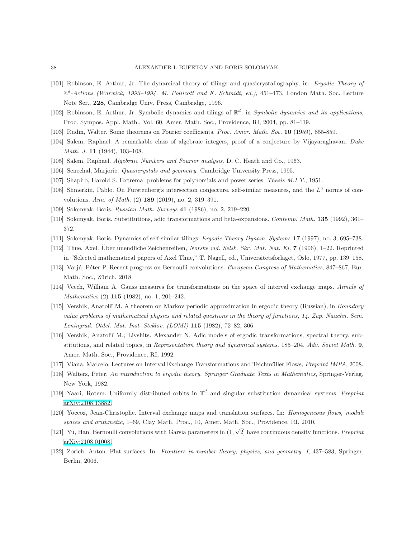- <span id="page-37-7"></span>[101] Robinson, E. Arthur, Jr. The dynamical theory of tilings and quasicrystallography, in: *Ergodic Theory of* Z d *-Actions (Warwick, 1993–1994, M. Pollicott and K. Schmidt, ed.)*, 451–473, London Math. Soc. Lecture Note Ser., 228, Cambridge Univ. Press, Cambridge, 1996.
- <span id="page-37-9"></span><span id="page-37-2"></span>[102] Robinson, E. Arthur, Jr. Symbolic dynamics and tilings of R d , in *Symbolic dynamics and its applications*, Proc. Sympos. Appl. Math., Vol. 60, Amer. Math. Soc., Providence, RI, 2004, pp. 81–119.
- <span id="page-37-16"></span>[103] Rudin, Walter. Some theorems on Fourier coefficients. *Proc. Amer. Math. Soc.* 10 (1959), 855-859.
- <span id="page-37-15"></span>[104] Salem, Raphael. A remarkable class of algebraic integers, proof of a conjecture by Vijayaraghavan, *Duke Math. J.* 11 (1944), 103–108.
- <span id="page-37-6"></span>[105] Salem, Raphael. *Algebraic Numbers and Fourier analysis*. D. C. Heath and Co., 1963.
- <span id="page-37-1"></span>[106] Senechal, Marjorie. *Quasicrystals and geometry*. Cambridge University Press, 1995.
- <span id="page-37-18"></span>[107] Shapiro, Harold S. Extremal problems for polynomials and power series. *Thesis M.I.T.*, 1951.
- <span id="page-37-11"></span>[108] Shmerkin, Pablo. On Furstenberg's intersection conjecture, self-similar measures, and the  $L<sup>q</sup>$  norms of convolutions. *Ann. of Math.* (2) 189 (2019), no. 2, 319–391.
- <span id="page-37-12"></span>[109] Solomyak, Boris. *Russian Math. Surveys* 41 (1986), no. 2, 219–220.
- <span id="page-37-8"></span>[110] Solomyak, Boris. Substitutions, adic transformations and beta-expansions. *Contemp. Math.* 135 (1992), 361– 372.
- <span id="page-37-0"></span>[111] Solomyak, Boris. Dynamics of self-similar tilings. *Ergodic Theory Dynam. Systems* 17 (1997), no. 3, 695–738.
- <span id="page-37-19"></span>[112] Thue, Axel. Über unendliche Zeichenreihen, Norske vid. Selsk. Skr. Mat. Nat. Kl. **7** (1906), 1–22. Reprinted in "Selected mathematical papers of Axel Thue," T. Nagell, ed., Universitetsforlaget, Oslo, 1977, pp. 139–158.
- <span id="page-37-3"></span>[113] Varj´u, P´eter P. Recent progress on Bernoulli convolutions. *European Congress of Mathematics*, 847–867, Eur. Math. Soc., Zürich, 2018.
- <span id="page-37-4"></span>[114] Veech, William A. Gauss measures for transformations on the space of interval exchange maps. *Annals of Mathematics* (2) 115 (1982), no. 1, 201–242.
- [115] Vershik, Anatoli˘ı M. A theorem on Markov periodic approximation in ergodic theory (Russian), in *Boundary value problems of mathematical physics and related questions in the theory of functions, 14. Zap. Nauchn. Sem. Leningrad. Otdel. Mat. Inst. Steklov. (LOMI)* 115 (1982), 72–82, 306.
- <span id="page-37-5"></span>[116] Vershik, Anatoli˘ı M.; Livshits, Alexander N. Adic models of ergodic transformations, spectral theory, substitutions, and related topics, in *Representation theory and dynamical systems,* 185–204, *Adv. Soviet Math.* 9, Amer. Math. Soc., Providence, RI, 1992.
- <span id="page-37-14"></span><span id="page-37-10"></span>[117] Viana, Marcelo. Lectures on Interval Exchange Transformations and Teichm¨uller Flows, *Preprint IMPA*, 2008.
- <span id="page-37-13"></span>[118] Walters, Peter. *An introduction to ergodic theory. Springer Graduate Texts in Mathematics*, Springer-Verlag, New York, 1982.
- [119] Yaari, Rotem. Uniformly distributed orbits in T d and singular substitution dynamical systems. *Preprint* [arXiv:2108.13882.](http://arxiv.org/abs/2108.13882)
- <span id="page-37-17"></span>[120] Yoccoz, Jean-Christophe. Interval exchange maps and translation surfaces. In: *Homogeneous flows, moduli spaces and arithmetic*, 1–69, Clay Math. Proc., 10, Amer. Math. Soc., Providence, RI, 2010.
- [121] Yu, Han. Bernoulli convolutions with Garsia parameters in  $(1,\sqrt{2}]$  have continuous density functions. *Preprint* [arXiv:2108.01008.](http://arxiv.org/abs/2108.01008)
- [122] Zorich, Anton. Flat surfaces. In: *Frontiers in number theory, physics, and geometry. I*, 437–583, Springer, Berlin, 2006.